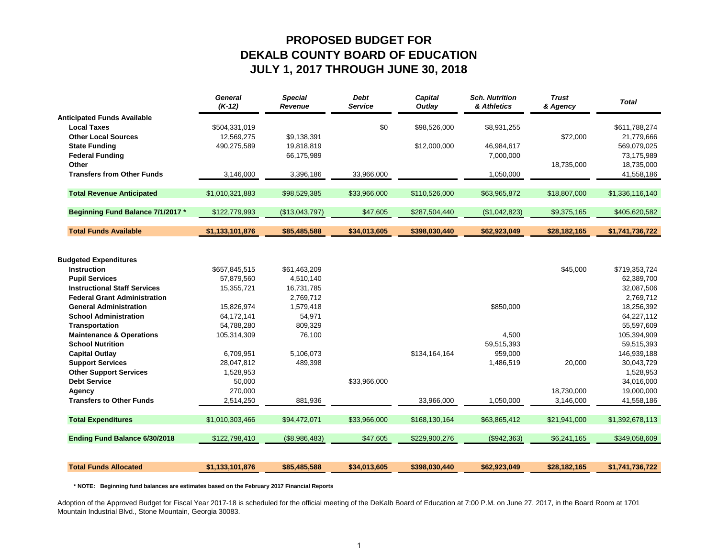## **PROPOSED BUDGET FORDEKALB COUNTY BOARD OF EDUCATION JULY 1, 2017 THROUGH JUNE 30, 2018**

|                                     | <b>General</b><br>$(K-12)$ | <b>Special</b><br><b>Revenue</b> | <b>Debt</b><br>Service | <b>Capital</b><br>Outlay | <b>Sch. Nutrition</b><br>& Athletics | <b>Trust</b><br>& Agency | <b>Total</b>    |
|-------------------------------------|----------------------------|----------------------------------|------------------------|--------------------------|--------------------------------------|--------------------------|-----------------|
| <b>Anticipated Funds Available</b>  |                            |                                  |                        |                          |                                      |                          |                 |
| <b>Local Taxes</b>                  | \$504,331,019              |                                  | \$0                    | \$98,526,000             | \$8,931,255                          |                          | \$611,788,274   |
| <b>Other Local Sources</b>          | 12,569,275                 | \$9,138,391                      |                        |                          |                                      | \$72,000                 | 21,779,666      |
| <b>State Funding</b>                | 490,275,589                | 19,818,819                       |                        | \$12,000,000             | 46,984,617                           |                          | 569,079,025     |
| <b>Federal Funding</b>              |                            | 66,175,989                       |                        |                          | 7,000,000                            |                          | 73,175,989      |
| Other                               |                            |                                  |                        |                          |                                      | 18,735,000               | 18,735,000      |
| <b>Transfers from Other Funds</b>   | 3,146,000                  | 3,396,186                        | 33,966,000             |                          | 1,050,000                            |                          | 41,558,186      |
| <b>Total Revenue Anticipated</b>    | \$1,010,321,883            | \$98,529,385                     | \$33,966,000           | \$110,526,000            | \$63,965,872                         | \$18,807,000             | \$1,336,116,140 |
| Beginning Fund Balance 7/1/2017 *   | \$122,779,993              | (\$13,043,797)                   | \$47,605               | \$287,504,440            | (\$1,042,823)                        | \$9,375,165              | \$405,620,582   |
| <b>Total Funds Available</b>        | \$1,133,101,876            | \$85,485,588                     | \$34,013,605           | \$398,030,440            | \$62,923,049                         | \$28,182,165             | \$1,741,736,722 |
|                                     |                            |                                  |                        |                          |                                      |                          |                 |
| <b>Budgeted Expenditures</b>        |                            |                                  |                        |                          |                                      |                          |                 |
| <b>Instruction</b>                  | \$657,845,515              | \$61,463,209                     |                        |                          |                                      | \$45,000                 | \$719,353,724   |
| <b>Pupil Services</b>               | 57,879,560                 | 4,510,140                        |                        |                          |                                      |                          | 62,389,700      |
| <b>Instructional Staff Services</b> | 15,355,721                 | 16,731,785                       |                        |                          |                                      |                          | 32,087,506      |
| <b>Federal Grant Administration</b> |                            | 2,769,712                        |                        |                          |                                      |                          | 2,769,712       |
| <b>General Administration</b>       | 15,826,974                 | 1,579,418                        |                        |                          | \$850,000                            |                          | 18,256,392      |
| <b>School Administration</b>        | 64,172,141                 | 54,971                           |                        |                          |                                      |                          | 64,227,112      |
| Transportation                      | 54,788,280                 | 809,329                          |                        |                          |                                      |                          | 55,597,609      |
| <b>Maintenance &amp; Operations</b> | 105,314,309                | 76,100                           |                        |                          | 4,500                                |                          | 105,394,909     |
| <b>School Nutrition</b>             |                            |                                  |                        |                          | 59,515,393                           |                          | 59,515,393      |
| <b>Capital Outlay</b>               | 6,709,951                  | 5,106,073                        |                        | \$134,164,164            | 959,000                              |                          | 146,939,188     |
| <b>Support Services</b>             | 28,047,812                 | 489,398                          |                        |                          | 1,486,519                            | 20,000                   | 30,043,729      |
| <b>Other Support Services</b>       | 1,528,953                  |                                  |                        |                          |                                      |                          | 1,528,953       |
| <b>Debt Service</b>                 | 50,000                     |                                  | \$33,966,000           |                          |                                      |                          | 34,016,000      |
| Agency                              | 270,000                    |                                  |                        |                          |                                      | 18,730,000               | 19,000,000      |
| <b>Transfers to Other Funds</b>     | 2,514,250                  | 881,936                          |                        | 33,966,000               | 1,050,000                            | 3,146,000                | 41,558,186      |
| <b>Total Expenditures</b>           | \$1,010,303,466            | \$94,472,071                     | \$33,966,000           | \$168,130,164            | \$63,865,412                         | \$21,941,000             | \$1,392,678,113 |
| Ending Fund Balance 6/30/2018       | \$122,798,410              | (\$8,986,483)                    | \$47,605               | \$229,900,276            | (\$942,363)                          | \$6,241,165              | \$349,058,609   |
|                                     |                            |                                  |                        |                          |                                      |                          |                 |
| <b>Total Funds Allocated</b>        | \$1,133,101,876            | \$85,485,588                     | \$34,013,605           | \$398,030,440            | \$62,923,049                         | \$28,182,165             | \$1,741,736,722 |

 **\* NOTE: Beginning fund balances are estimates based on the February 2017 Financial Reports**

Adoption of the Approved Budget for Fiscal Year 2017-18 is scheduled for the official meeting of the DeKalb Board of Education at 7:00 P.M. on June 27, 2017, in the Board Room at 1701 Mountain Industrial Blvd., Stone Mountain, Georgia 30083.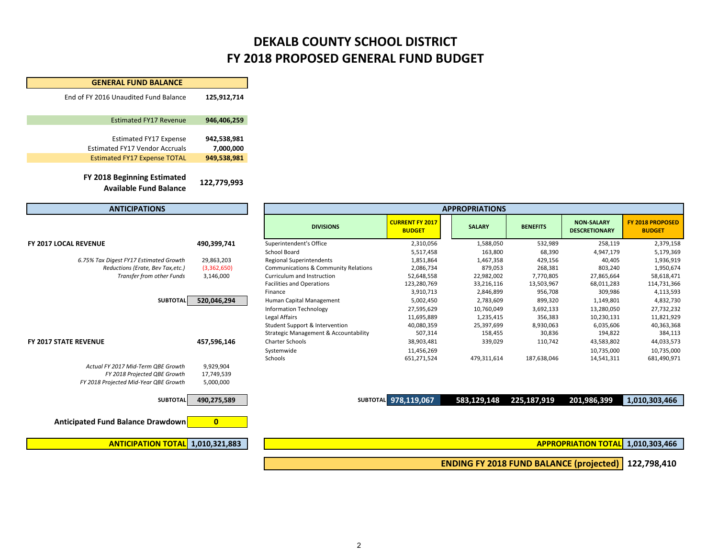## **DEKALB COUNTY SCHOOL DISTRICT FY 2018 PROPOSED GENERAL FUND BUDGET**

| <b>GENERAL FUND BALANCE</b>                                           |                          |
|-----------------------------------------------------------------------|--------------------------|
| End of FY 2016 Unaudited Fund Balance                                 | 125,912,714              |
| <b>Estimated FY17 Revenue</b>                                         | 946,406,259              |
| <b>Estimated FY17 Expense</b>                                         | 942,538,981              |
| <b>Estimated FY17 Vendor Accruals</b>                                 | 7,000,000                |
| <b>Estimated FY17 Expense TOTAL</b>                                   | 949,538,981              |
| FY 2018 Beginning Estimated<br><b>Available Fund Balance</b>          | 122,779,993              |
| <b>ANTICIPATIONS</b>                                                  |                          |
|                                                                       |                          |
| <b>FY 2017 LOCAL REVENUE</b>                                          | 490,399,741              |
| 6.75% Tax Digest FY17 Estimated Growth                                | 29,863,203               |
| Reductions (Erate, Bev Tax, etc.)<br>Transfer from other Funds        | (3,362,650)<br>3,146,000 |
|                                                                       |                          |
| <b>SUBTOTAL</b>                                                       | 520,046,294              |
| <b>FY 2017 STATE REVENUE</b>                                          | 457,596,146              |
|                                                                       |                          |
| Actual FY 2017 Mid-Term OBE Growth                                    | 9,929,904                |
| FY 2018 Projected QBE Growth<br>FY 2018 Projected Mid-Year QBE Growth | 17,749,539<br>5,000,000  |
|                                                                       |                          |
| <b>SUBTOTAL</b>                                                       | 490,275,589              |
| Anticipated Fund Balance Drawdown                                     | 0                        |
|                                                                       |                          |
| <b>ANTICIPATION TOTAL</b>                                             | 1,010,321,883            |

| <b>ANTICIPATIONS</b>                   |             | <b>APPROPRIATIONS</b>                           |                                         |               |                 |                                           |                                          |  |
|----------------------------------------|-------------|-------------------------------------------------|-----------------------------------------|---------------|-----------------|-------------------------------------------|------------------------------------------|--|
|                                        |             | <b>DIVISIONS</b>                                | <b>CURRENT FY 2017</b><br><b>BUDGET</b> | <b>SALARY</b> | <b>BENEFITS</b> | <b>NON-SALARY</b><br><b>DESCRETIONARY</b> | <b>FY 2018 PROPOSED</b><br><b>BUDGET</b> |  |
| Y 2017 LOCAL REVENUE                   | 490,399,741 | Superintendent's Office                         | 2,310,056                               | 1,588,050     | 532,989         | 258,119                                   | 2,379,158                                |  |
|                                        |             | School Board                                    | 5,517,458                               | 163,800       | 68,390          | 4,947,179                                 | 5,179,369                                |  |
| 6.75% Tax Digest FY17 Estimated Growth | 29,863,203  | <b>Regional Superintendents</b>                 | 1,851,864                               | 1,467,358     | 429,156         | 40,405                                    | 1,936,919                                |  |
| Reductions (Erate, Bev Tax, etc.)      | (3,362,650) | <b>Communications &amp; Community Relations</b> | 2,086,734                               | 879,053       | 268,381         | 803,240                                   | 1,950,674                                |  |
| Transfer from other Funds              | 3,146,000   | Curriculum and Instruction                      | 52,648,558                              | 22,982,002    | 7,770,805       | 27,865,664                                | 58,618,471                               |  |
|                                        |             | <b>Facilities and Operations</b>                | 123,280,769                             | 33,216,116    | 13,503,967      | 68,011,283                                | 114,731,366                              |  |
|                                        |             | Finance                                         | 3,910,713                               | 2,846,899     | 956,708         | 309,986                                   | 4,113,593                                |  |
| <b>SUBTOTAL</b>                        | 520,046,294 | Human Capital Management                        | 5,002,450                               | 2,783,609     | 899,320         | 1,149,801                                 | 4,832,730                                |  |
|                                        |             | <b>Information Technology</b>                   | 27,595,629                              | 10,760,049    | 3,692,133       | 13,280,050                                | 27,732,232                               |  |
|                                        |             | Legal Affairs                                   | 11,695,889                              | 1,235,415     | 356,383         | 10,230,131                                | 11,821,929                               |  |
|                                        |             | Student Support & Intervention                  | 40,080,359                              | 25,397,699    | 8,930,063       | 6,035,606                                 | 40,363,368                               |  |
|                                        |             | Strategic Management & Accountability           | 507,314                                 | 158,455       | 30,836          | 194,822                                   | 384,113                                  |  |
| Y 2017 STATE REVENUE                   | 457,596,146 | <b>Charter Schools</b>                          | 38,903,481                              | 339,029       | 110,742         | 43,583,802                                | 44,033,573                               |  |
|                                        |             | Systemwide                                      | 11,456,269                              |               |                 | 10,735,000                                | 10,735,000                               |  |
|                                        |             | Schools                                         | 651,271,524                             | 479,311,614   | 187,638,046     | 14,541,311                                | 681,490,971                              |  |
| Actual FY 2017 Mid-Term QBE Growth     | 9,929,904   |                                                 |                                         |               |                 |                                           |                                          |  |

**490,275,589 SUBTOTAL 978,119,067 583,129,148 225,187,919 201,986,399 1,010,303,466**

**TOTAL 1,010,321,883 1,010,303,466 APPROPRIATION TOTAL**

**122,798,410 ENDING FY 2018 FUND BALANCE (projected)**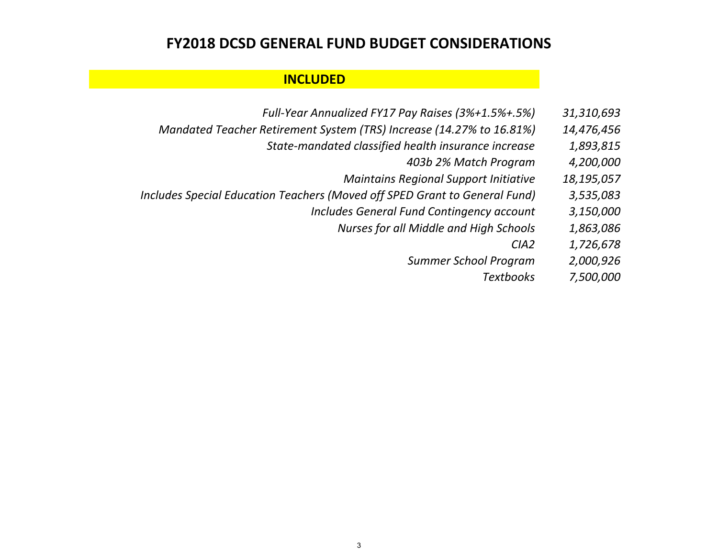## **FY2018 DCSD GENERAL FUND BUDGET CONSIDERATIONS**

### **INCLUDED**

- *Full‐Year Annualized FY17 Pay Raises (3%+1.5%+.5%) 31,310,693*
- *Mandated Teacher Retirement System (TRS) Increase (14.27% to 16.81%) 14,476,456*
	- *State‐mandated classified health insurance increase 1,893,815*
		- *403b 2% Match Program 4,200,000*
		- *Maintains Regional Support Initiative 18,195,057*
- *Includes Special Education Teachers (Moved off SPED Grant to General Fund) 3,535,083*
	- *Includes General Fund Contingency account 3,150,000*
		- *Nurses for all Middle and High Schools 1,863,086*
			- *CIA2 1,726,678*
			- *Summer School Program 2,000,926*
				- *Textbooks 7,500,000*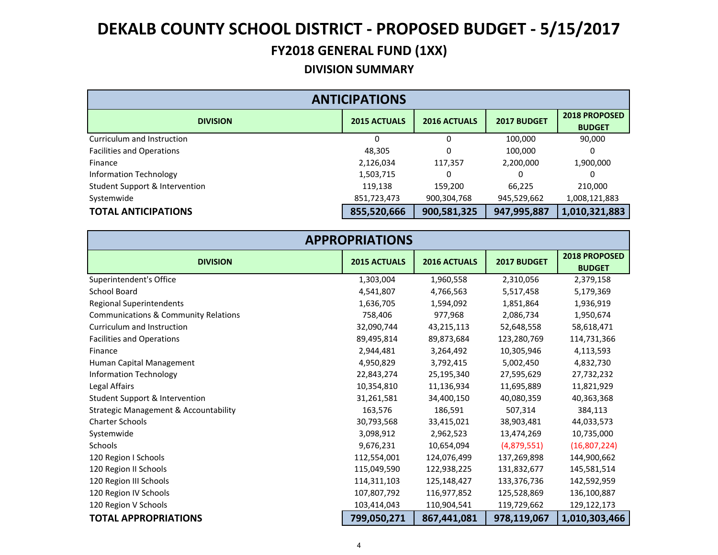## **FY2018 GENERAL FUND (1XX)**

### **DIVISION SUMMARY**

| <b>ANTICIPATIONS</b>             |                     |                     |             |                                       |  |  |  |  |
|----------------------------------|---------------------|---------------------|-------------|---------------------------------------|--|--|--|--|
| <b>DIVISION</b>                  | <b>2015 ACTUALS</b> | <b>2016 ACTUALS</b> | 2017 BUDGET | <b>2018 PROPOSED</b><br><b>BUDGET</b> |  |  |  |  |
| Curriculum and Instruction       |                     | $\Omega$            | 100,000     | 90,000                                |  |  |  |  |
| <b>Facilities and Operations</b> | 48,305              | 0                   | 100,000     | 0                                     |  |  |  |  |
| Finance                          | 2,126,034           | 117,357             | 2,200,000   | 1,900,000                             |  |  |  |  |
| Information Technology           | 1,503,715           | 0                   | 0           |                                       |  |  |  |  |
| Student Support & Intervention   | 119,138             | 159,200             | 66,225      | 210,000                               |  |  |  |  |
| Systemwide                       | 851,723,473         | 900,304,768         | 945,529,662 | 1,008,121,883                         |  |  |  |  |
| <b>TOTAL ANTICIPATIONS</b>       | 855,520,666         | 900,581,325         | 947,995,887 | 1,010,321,883                         |  |  |  |  |

| <b>APPROPRIATIONS</b>                            |                     |              |             |                                |  |  |  |
|--------------------------------------------------|---------------------|--------------|-------------|--------------------------------|--|--|--|
| <b>DIVISION</b>                                  | <b>2015 ACTUALS</b> | 2016 ACTUALS | 2017 BUDGET | 2018 PROPOSED<br><b>BUDGET</b> |  |  |  |
| Superintendent's Office                          | 1,303,004           | 1,960,558    | 2,310,056   | 2,379,158                      |  |  |  |
| <b>School Board</b>                              | 4,541,807           | 4,766,563    | 5,517,458   | 5,179,369                      |  |  |  |
| <b>Regional Superintendents</b>                  | 1,636,705           | 1,594,092    | 1,851,864   | 1,936,919                      |  |  |  |
| <b>Communications &amp; Community Relations</b>  | 758,406             | 977,968      | 2,086,734   | 1,950,674                      |  |  |  |
| Curriculum and Instruction                       | 32,090,744          | 43,215,113   | 52,648,558  | 58,618,471                     |  |  |  |
| <b>Facilities and Operations</b>                 | 89,495,814          | 89,873,684   | 123,280,769 | 114,731,366                    |  |  |  |
| Finance                                          | 2,944,481           | 3,264,492    | 10,305,946  | 4,113,593                      |  |  |  |
| Human Capital Management                         | 4,950,829           | 3,792,415    | 5,002,450   | 4,832,730                      |  |  |  |
| <b>Information Technology</b>                    | 22,843,274          | 25,195,340   | 27,595,629  | 27,732,232                     |  |  |  |
| Legal Affairs                                    | 10,354,810          | 11,136,934   | 11,695,889  | 11,821,929                     |  |  |  |
| Student Support & Intervention                   | 31,261,581          | 34,400,150   | 40,080,359  | 40,363,368                     |  |  |  |
| <b>Strategic Management &amp; Accountability</b> | 163,576             | 186,591      | 507,314     | 384,113                        |  |  |  |
| <b>Charter Schools</b>                           | 30,793,568          | 33,415,021   | 38,903,481  | 44,033,573                     |  |  |  |
| Systemwide                                       | 3,098,912           | 2,962,523    | 13,474,269  | 10,735,000                     |  |  |  |
| <b>Schools</b>                                   | 9,676,231           | 10,654,094   | (4,879,551) | (16,807,224)                   |  |  |  |
| 120 Region I Schools                             | 112,554,001         | 124,076,499  | 137,269,898 | 144,900,662                    |  |  |  |
| 120 Region II Schools                            | 115,049,590         | 122,938,225  | 131,832,677 | 145,581,514                    |  |  |  |
| 120 Region III Schools                           | 114,311,103         | 125,148,427  | 133,376,736 | 142,592,959                    |  |  |  |
| 120 Region IV Schools                            | 107,807,792         | 116,977,852  | 125,528,869 | 136,100,887                    |  |  |  |
| 120 Region V Schools                             | 103,414,043         | 110,904,541  | 119,729,662 | 129,122,173                    |  |  |  |
| <b>TOTAL APPROPRIATIONS</b>                      | 799,050,271         | 867,441,081  | 978,119,067 | 1,010,303,466                  |  |  |  |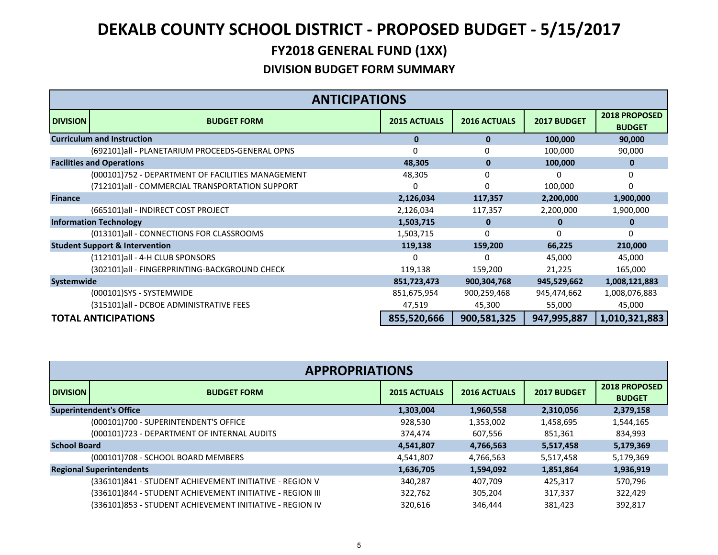|                 | <b>ANTICIPATIONS</b>                              |                     |                     |             |                                       |  |  |
|-----------------|---------------------------------------------------|---------------------|---------------------|-------------|---------------------------------------|--|--|
| <b>DIVISION</b> | <b>BUDGET FORM</b>                                | <b>2015 ACTUALS</b> | <b>2016 ACTUALS</b> | 2017 BUDGET | <b>2018 PROPOSED</b><br><b>BUDGET</b> |  |  |
|                 | <b>Curriculum and Instruction</b>                 | 0                   | 0                   | 100,000     | 90,000                                |  |  |
|                 | (692101)all - PLANETARIUM PROCEEDS-GENERAL OPNS   | 0                   | 0                   | 100,000     | 90,000                                |  |  |
|                 | <b>Facilities and Operations</b>                  | 48,305              | 0                   | 100,000     | 0                                     |  |  |
|                 | (000101)752 - DEPARTMENT OF FACILITIES MANAGEMENT | 48,305              |                     |             | U                                     |  |  |
|                 | (712101)all - COMMERCIAL TRANSPORTATION SUPPORT   | 0                   |                     | 100,000     | 0                                     |  |  |
| <b>Finance</b>  |                                                   | 2,126,034           | 117,357             | 2,200,000   | 1,900,000                             |  |  |
|                 | (665101)all - INDIRECT COST PROJECT               | 2,126,034           | 117,357             | 2,200,000   | 1,900,000                             |  |  |
|                 | <b>Information Technology</b>                     | 1,503,715           | 0                   | 0           | 0                                     |  |  |
|                 | (013101)all - CONNECTIONS FOR CLASSROOMS          | 1,503,715           |                     | n           | 0                                     |  |  |
|                 | <b>Student Support &amp; Intervention</b>         | 119,138             | 159,200             | 66,225      | 210,000                               |  |  |
|                 | (112101)all - 4-H CLUB SPONSORS                   | 0                   |                     | 45,000      | 45,000                                |  |  |
|                 | (302101)all - FINGERPRINTING-BACKGROUND CHECK     | 119,138             | 159,200             | 21,225      | 165,000                               |  |  |
| Systemwide      |                                                   | 851,723,473         | 900,304,768         | 945,529,662 | 1,008,121,883                         |  |  |
|                 | (000101)SYS - SYSTEMWIDE                          | 851,675,954         | 900,259,468         | 945,474,662 | 1,008,076,883                         |  |  |
|                 | (315101)all - DCBOE ADMINISTRATIVE FEES           | 47,519              | 45,300              | 55,000      | 45,000                                |  |  |
|                 | <b>TOTAL ANTICIPATIONS</b>                        | 855,520,666         | 900,581,325         | 947,995,887 | 1,010,321,883                         |  |  |

|                     | <b>APPROPRIATIONS</b>                                     |                     |                     |             |                                |  |  |  |
|---------------------|-----------------------------------------------------------|---------------------|---------------------|-------------|--------------------------------|--|--|--|
| <b>DIVISION</b>     | <b>BUDGET FORM</b>                                        | <b>2015 ACTUALS</b> | <b>2016 ACTUALS</b> | 2017 BUDGET | 2018 PROPOSED<br><b>BUDGET</b> |  |  |  |
|                     | <b>Superintendent's Office</b>                            | 1,303,004           | 1,960,558           | 2,310,056   | 2,379,158                      |  |  |  |
|                     | (000101)700 - SUPERINTENDENT'S OFFICE                     | 928,530             | 1,353,002           | 1,458,695   | 1,544,165                      |  |  |  |
|                     | (000101)723 - DEPARTMENT OF INTERNAL AUDITS               | 374,474             | 607,556             | 851,361     | 834,993                        |  |  |  |
| <b>School Board</b> |                                                           | 4,541,807           | 4,766,563           | 5,517,458   | 5,179,369                      |  |  |  |
|                     | (000101)708 - SCHOOL BOARD MEMBERS                        | 4,541,807           | 4,766,563           | 5,517,458   | 5,179,369                      |  |  |  |
|                     | <b>Regional Superintendents</b>                           | 1,636,705           | 1,594,092           | 1,851,864   | 1,936,919                      |  |  |  |
|                     | (336101)841 - STUDENT ACHIEVEMENT INITIATIVE - REGION V   | 340,287             | 407,709             | 425,317     | 570,796                        |  |  |  |
|                     | (336101)844 - STUDENT ACHIEVEMENT INITIATIVE - REGION III | 322,762             | 305.204             | 317,337     | 322,429                        |  |  |  |
|                     | (336101)853 - STUDENT ACHIEVEMENT INITIATIVE - REGION IV  | 320,616             | 346,444             | 381,423     | 392,817                        |  |  |  |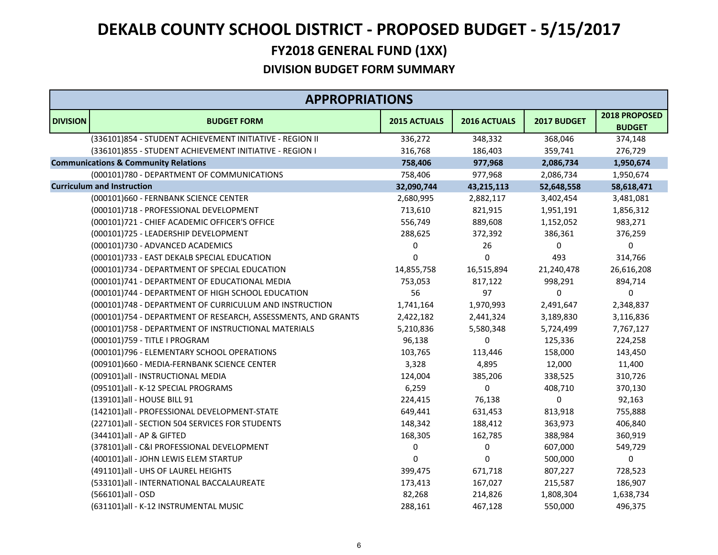# **FY2018 GENERAL FUND (1XX) DEKALB COUNTY SCHOOL DISTRICT ‐ PROPOSED BUDGET ‐ 5/15/2017**

|                 | <b>APPROPRIATIONS</b>                                         |              |              |             |                                |
|-----------------|---------------------------------------------------------------|--------------|--------------|-------------|--------------------------------|
| <b>DIVISION</b> | <b>BUDGET FORM</b>                                            | 2015 ACTUALS | 2016 ACTUALS | 2017 BUDGET | 2018 PROPOSED<br><b>BUDGET</b> |
|                 | (336101)854 - STUDENT ACHIEVEMENT INITIATIVE - REGION II      | 336,272      | 348,332      | 368,046     | 374,148                        |
|                 | (336101)855 - STUDENT ACHIEVEMENT INITIATIVE - REGION I       | 316,768      | 186,403      | 359,741     | 276,729                        |
|                 | <b>Communications &amp; Community Relations</b>               | 758,406      | 977,968      | 2,086,734   | 1,950,674                      |
|                 | (000101)780 - DEPARTMENT OF COMMUNICATIONS                    | 758,406      | 977,968      | 2,086,734   | 1,950,674                      |
|                 | <b>Curriculum and Instruction</b>                             | 32,090,744   | 43,215,113   | 52,648,558  | 58,618,471                     |
|                 | (000101)660 - FERNBANK SCIENCE CENTER                         | 2,680,995    | 2,882,117    | 3,402,454   | 3,481,081                      |
|                 | (000101)718 - PROFESSIONAL DEVELOPMENT                        | 713,610      | 821,915      | 1,951,191   | 1,856,312                      |
|                 | (000101)721 - CHIEF ACADEMIC OFFICER'S OFFICE                 | 556,749      | 889,608      | 1,152,052   | 983,271                        |
|                 | (000101)725 - LEADERSHIP DEVELOPMENT                          | 288,625      | 372,392      | 386,361     | 376,259                        |
|                 | (000101)730 - ADVANCED ACADEMICS                              | 0            | 26           | 0           | 0                              |
|                 | (000101)733 - EAST DEKALB SPECIAL EDUCATION                   | 0            | $\mathbf 0$  | 493         | 314,766                        |
|                 | (000101)734 - DEPARTMENT OF SPECIAL EDUCATION                 | 14,855,758   | 16,515,894   | 21,240,478  | 26,616,208                     |
|                 | (000101)741 - DEPARTMENT OF EDUCATIONAL MEDIA                 | 753,053      | 817,122      | 998,291     | 894,714                        |
|                 | (000101)744 - DEPARTMENT OF HIGH SCHOOL EDUCATION             | 56           | 97           | 0           | 0                              |
|                 | (000101)748 - DEPARTMENT OF CURRICULUM AND INSTRUCTION        | 1,741,164    | 1,970,993    | 2,491,647   | 2,348,837                      |
|                 | (000101)754 - DEPARTMENT OF RESEARCH, ASSESSMENTS, AND GRANTS | 2,422,182    | 2,441,324    | 3,189,830   | 3,116,836                      |
|                 | (000101)758 - DEPARTMENT OF INSTRUCTIONAL MATERIALS           | 5,210,836    | 5,580,348    | 5,724,499   | 7,767,127                      |
|                 | (000101)759 - TITLE I PROGRAM                                 | 96,138       | 0            | 125,336     | 224,258                        |
|                 | (000101)796 - ELEMENTARY SCHOOL OPERATIONS                    | 103,765      | 113,446      | 158,000     | 143,450                        |
|                 | (009101)660 - MEDIA-FERNBANK SCIENCE CENTER                   | 3,328        | 4,895        | 12,000      | 11,400                         |
|                 | (009101)all - INSTRUCTIONAL MEDIA                             | 124,004      | 385,206      | 338,525     | 310,726                        |
|                 | (095101)all - K-12 SPECIAL PROGRAMS                           | 6,259        | $\Omega$     | 408,710     | 370,130                        |
|                 | (139101)all - HOUSE BILL 91                                   | 224,415      | 76,138       | 0           | 92,163                         |
|                 | (142101)all - PROFESSIONAL DEVELOPMENT-STATE                  | 649,441      | 631,453      | 813,918     | 755,888                        |
|                 | (227101)all - SECTION 504 SERVICES FOR STUDENTS               | 148,342      | 188,412      | 363,973     | 406,840                        |
|                 | (344101)all - AP & GIFTED                                     | 168,305      | 162,785      | 388,984     | 360,919                        |
|                 | (378101)all - C&I PROFESSIONAL DEVELOPMENT                    | 0            | 0            | 607,000     | 549,729                        |
|                 | (400101)all - JOHN LEWIS ELEM STARTUP                         | 0            | $\mathbf{0}$ | 500,000     | 0                              |
|                 | (491101)all - UHS OF LAUREL HEIGHTS                           | 399,475      | 671,718      | 807,227     | 728,523                        |
|                 | (533101)all - INTERNATIONAL BACCALAUREATE                     | 173,413      | 167,027      | 215,587     | 186,907                        |
|                 | (566101)all - OSD                                             | 82,268       | 214,826      | 1,808,304   | 1,638,734                      |
|                 | (631101)all - K-12 INSTRUMENTAL MUSIC                         | 288,161      | 467,128      | 550,000     | 496,375                        |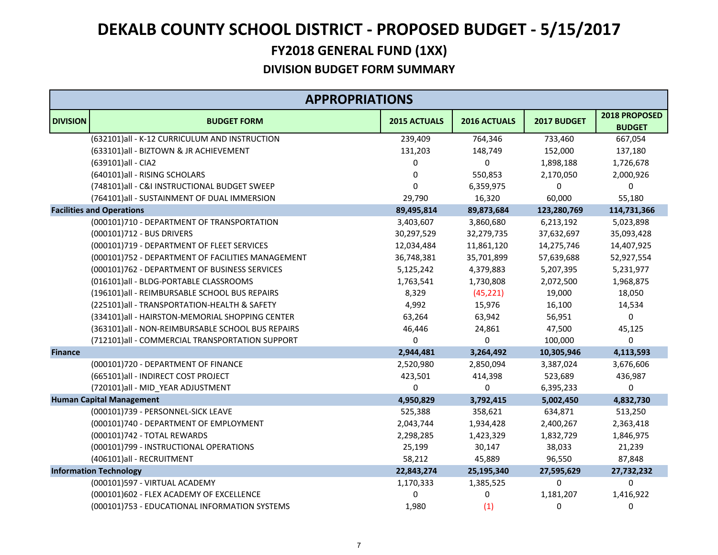|                 | <b>APPROPRIATIONS</b>                             |                     |              |             |                                |  |
|-----------------|---------------------------------------------------|---------------------|--------------|-------------|--------------------------------|--|
| <b>DIVISION</b> | <b>BUDGET FORM</b>                                | <b>2015 ACTUALS</b> | 2016 ACTUALS | 2017 BUDGET | 2018 PROPOSED<br><b>BUDGET</b> |  |
|                 | (632101)all - K-12 CURRICULUM AND INSTRUCTION     | 239,409             | 764,346      | 733,460     | 667,054                        |  |
|                 | (633101)all - BIZTOWN & JR ACHIEVEMENT            | 131,203             | 148,749      | 152,000     | 137,180                        |  |
|                 | (639101)all - CIA2                                | 0                   | 0            | 1,898,188   | 1,726,678                      |  |
|                 | (640101)all - RISING SCHOLARS                     | 0                   | 550,853      | 2,170,050   | 2,000,926                      |  |
|                 | (748101)all - C&I INSTRUCTIONAL BUDGET SWEEP      | $\mathbf 0$         | 6,359,975    | 0           | 0                              |  |
|                 | (764101)all - SUSTAINMENT OF DUAL IMMERSION       | 29,790              | 16,320       | 60,000      | 55,180                         |  |
|                 | <b>Facilities and Operations</b>                  | 89,495,814          | 89,873,684   | 123,280,769 | 114,731,366                    |  |
|                 | (000101)710 - DEPARTMENT OF TRANSPORTATION        | 3,403,607           | 3,860,680    | 6,213,192   | 5,023,898                      |  |
|                 | (000101)712 - BUS DRIVERS                         | 30,297,529          | 32,279,735   | 37,632,697  | 35,093,428                     |  |
|                 | (000101)719 - DEPARTMENT OF FLEET SERVICES        | 12,034,484          | 11,861,120   | 14,275,746  | 14,407,925                     |  |
|                 | (000101)752 - DEPARTMENT OF FACILITIES MANAGEMENT | 36,748,381          | 35,701,899   | 57,639,688  | 52,927,554                     |  |
|                 | (000101)762 - DEPARTMENT OF BUSINESS SERVICES     | 5,125,242           | 4,379,883    | 5,207,395   | 5,231,977                      |  |
|                 | (016101)all - BLDG-PORTABLE CLASSROOMS            | 1,763,541           | 1,730,808    | 2,072,500   | 1,968,875                      |  |
|                 | (196101)all - REIMBURSABLE SCHOOL BUS REPAIRS     | 8,329               | (45, 221)    | 19,000      | 18,050                         |  |
|                 | (225101)all - TRANSPORTATION-HEALTH & SAFETY      | 4,992               | 15,976       | 16,100      | 14,534                         |  |
|                 | (334101)all - HAIRSTON-MEMORIAL SHOPPING CENTER   | 63,264              | 63,942       | 56,951      | 0                              |  |
|                 | (363101)all - NON-REIMBURSABLE SCHOOL BUS REPAIRS | 46,446              | 24,861       | 47,500      | 45,125                         |  |
|                 | (712101)all - COMMERCIAL TRANSPORTATION SUPPORT   | 0                   | 0            | 100,000     | 0                              |  |
| <b>Finance</b>  |                                                   | 2,944,481           | 3,264,492    | 10,305,946  | 4,113,593                      |  |
|                 | (000101)720 - DEPARTMENT OF FINANCE               | 2,520,980           | 2,850,094    | 3,387,024   | 3,676,606                      |  |
|                 | (665101)all - INDIRECT COST PROJECT               | 423,501             | 414,398      | 523,689     | 436,987                        |  |
|                 | (720101)all - MID_YEAR ADJUSTMENT                 | 0                   | $\Omega$     | 6,395,233   | 0                              |  |
|                 | <b>Human Capital Management</b>                   | 4,950,829           | 3,792,415    | 5,002,450   | 4,832,730                      |  |
|                 | (000101)739 - PERSONNEL-SICK LEAVE                | 525,388             | 358,621      | 634,871     | 513,250                        |  |
|                 | (000101)740 - DEPARTMENT OF EMPLOYMENT            | 2,043,744           | 1,934,428    | 2,400,267   | 2,363,418                      |  |
|                 | (000101)742 - TOTAL REWARDS                       | 2,298,285           | 1,423,329    | 1,832,729   | 1,846,975                      |  |
|                 | (000101)799 - INSTRUCTIONAL OPERATIONS            | 25,199              | 30,147       | 38,033      | 21,239                         |  |
|                 | (406101)all - RECRUITMENT                         | 58,212              | 45,889       | 96,550      | 87,848                         |  |
|                 | <b>Information Technology</b>                     | 22,843,274          | 25,195,340   | 27,595,629  | 27,732,232                     |  |
|                 | (000101)597 - VIRTUAL ACADEMY                     | 1,170,333           | 1,385,525    | 0           | 0                              |  |
|                 | (000101)602 - FLEX ACADEMY OF EXCELLENCE          | 0                   | 0            | 1,181,207   | 1,416,922                      |  |
|                 | (000101)753 - EDUCATIONAL INFORMATION SYSTEMS     | 1,980               | (1)          | 0           | 0                              |  |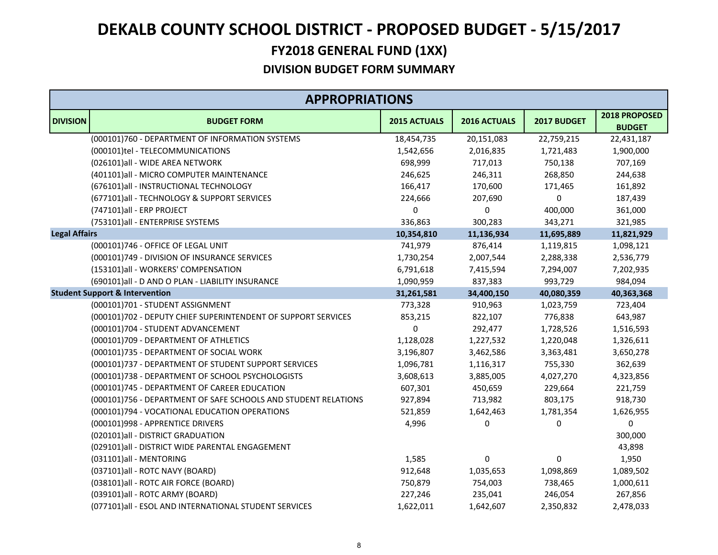|                      | <b>APPROPRIATIONS</b>                                          |                     |              |             |                                |
|----------------------|----------------------------------------------------------------|---------------------|--------------|-------------|--------------------------------|
| <b>DIVISION</b>      | <b>BUDGET FORM</b>                                             | <b>2015 ACTUALS</b> | 2016 ACTUALS | 2017 BUDGET | 2018 PROPOSED<br><b>BUDGET</b> |
|                      | (000101)760 - DEPARTMENT OF INFORMATION SYSTEMS                | 18,454,735          | 20,151,083   | 22,759,215  | 22,431,187                     |
|                      | (000101)tel - TELECOMMUNICATIONS                               | 1,542,656           | 2,016,835    | 1,721,483   | 1,900,000                      |
|                      | (026101)all - WIDE AREA NETWORK                                | 698,999             | 717,013      | 750,138     | 707,169                        |
|                      | (401101) all - MICRO COMPUTER MAINTENANCE                      | 246,625             | 246,311      | 268,850     | 244,638                        |
|                      | (676101)all - INSTRUCTIONAL TECHNOLOGY                         | 166,417             | 170,600      | 171,465     | 161,892                        |
|                      | (677101)all - TECHNOLOGY & SUPPORT SERVICES                    | 224,666             | 207,690      | 0           | 187,439                        |
|                      | (747101)all - ERP PROJECT                                      | 0                   | $\Omega$     | 400,000     | 361,000                        |
|                      | (753101)all - ENTERPRISE SYSTEMS                               | 336,863             | 300,283      | 343,271     | 321,985                        |
| <b>Legal Affairs</b> |                                                                | 10,354,810          | 11,136,934   | 11,695,889  | 11,821,929                     |
|                      | (000101)746 - OFFICE OF LEGAL UNIT                             | 741,979             | 876,414      | 1,119,815   | 1,098,121                      |
|                      | (000101)749 - DIVISION OF INSURANCE SERVICES                   | 1,730,254           | 2,007,544    | 2,288,338   | 2,536,779                      |
|                      | (153101)all - WORKERS' COMPENSATION                            | 6,791,618           | 7,415,594    | 7,294,007   | 7,202,935                      |
|                      | (690101)all - D AND O PLAN - LIABILITY INSURANCE               | 1,090,959           | 837,383      | 993,729     | 984,094                        |
|                      | <b>Student Support &amp; Intervention</b>                      | 31,261,581          | 34,400,150   | 40,080,359  | 40,363,368                     |
|                      | (000101)701 - STUDENT ASSIGNMENT                               | 773,328             | 910,963      | 1,023,759   | 723,404                        |
|                      | (000101)702 - DEPUTY CHIEF SUPERINTENDENT OF SUPPORT SERVICES  | 853,215             | 822,107      | 776,838     | 643,987                        |
|                      | (000101)704 - STUDENT ADVANCEMENT                              | 0                   | 292,477      | 1,728,526   | 1,516,593                      |
|                      | (000101)709 - DEPARTMENT OF ATHLETICS                          | 1,128,028           | 1,227,532    | 1,220,048   | 1,326,611                      |
|                      | (000101)735 - DEPARTMENT OF SOCIAL WORK                        | 3,196,807           | 3,462,586    | 3,363,481   | 3,650,278                      |
|                      | (000101)737 - DEPARTMENT OF STUDENT SUPPORT SERVICES           | 1,096,781           | 1,116,317    | 755,330     | 362,639                        |
|                      | (000101)738 - DEPARTMENT OF SCHOOL PSYCHOLOGISTS               | 3,608,613           | 3,885,005    | 4,027,270   | 4,323,856                      |
|                      | (000101)745 - DEPARTMENT OF CAREER EDUCATION                   | 607,301             | 450,659      | 229,664     | 221,759                        |
|                      | (000101)756 - DEPARTMENT OF SAFE SCHOOLS AND STUDENT RELATIONS | 927,894             | 713,982      | 803,175     | 918,730                        |
|                      | (000101)794 - VOCATIONAL EDUCATION OPERATIONS                  | 521,859             | 1,642,463    | 1,781,354   | 1,626,955                      |
|                      | (000101)998 - APPRENTICE DRIVERS                               | 4,996               | 0            | $\pmb{0}$   | 0                              |
|                      | (020101)all - DISTRICT GRADUATION                              |                     |              |             | 300,000                        |
|                      | (029101)all - DISTRICT WIDE PARENTAL ENGAGEMENT                |                     |              |             | 43,898                         |
|                      | (031101)all - MENTORING                                        | 1,585               | 0            | $\pmb{0}$   | 1,950                          |
|                      | (037101)all - ROTC NAVY (BOARD)                                | 912,648             | 1,035,653    | 1,098,869   | 1,089,502                      |
|                      | (038101)all - ROTC AIR FORCE (BOARD)                           | 750,879             | 754,003      | 738,465     | 1,000,611                      |
|                      | (039101)all - ROTC ARMY (BOARD)                                | 227,246             | 235,041      | 246,054     | 267,856                        |
|                      | (077101)all - ESOL AND INTERNATIONAL STUDENT SERVICES          | 1,622,011           | 1,642,607    | 2,350,832   | 2,478,033                      |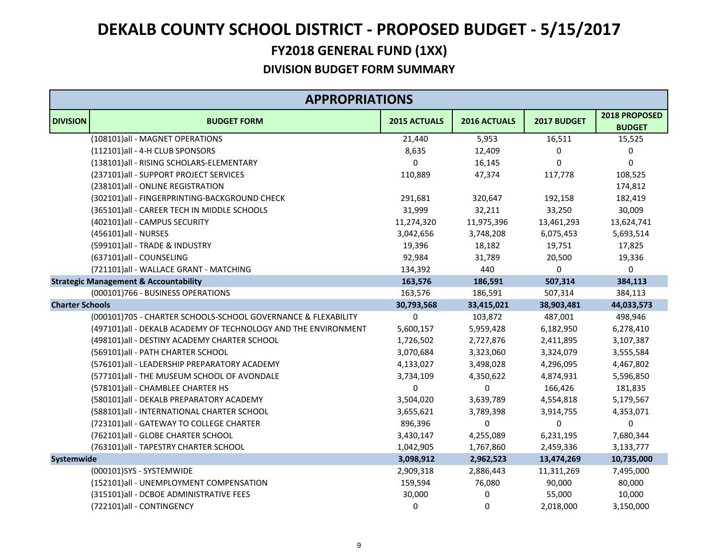# **FY2018 GENERAL FUND (1XX) DEKALB COUNTY SCHOOL DISTRICT ‐ PROPOSED BUDGET ‐ 5/15/2017**

|                        | <b>APPROPRIATIONS</b>                                          |                     |              |             |                                |
|------------------------|----------------------------------------------------------------|---------------------|--------------|-------------|--------------------------------|
| <b>DIVISION</b>        | <b>BUDGET FORM</b>                                             | <b>2015 ACTUALS</b> | 2016 ACTUALS | 2017 BUDGET | 2018 PROPOSED<br><b>BUDGET</b> |
|                        | (108101)all - MAGNET OPERATIONS                                | 21,440              | 5,953        | 16,511      | 15,525                         |
|                        | (112101)all - 4-H CLUB SPONSORS                                | 8,635               | 12,409       | 0           | 0                              |
|                        | (138101)all - RISING SCHOLARS-ELEMENTARY                       | $\mathbf 0$         | 16,145       | 0           | $\mathbf 0$                    |
|                        | (237101)all - SUPPORT PROJECT SERVICES                         | 110,889             | 47,374       | 117,778     | 108,525                        |
|                        | (238101)all - ONLINE REGISTRATION                              |                     |              |             | 174,812                        |
|                        | (302101)all - FINGERPRINTING-BACKGROUND CHECK                  | 291,681             | 320,647      | 192,158     | 182,419                        |
|                        | (365101)all - CAREER TECH IN MIDDLE SCHOOLS                    | 31,999              | 32,211       | 33,250      | 30,009                         |
|                        | (402101)all - CAMPUS SECURITY                                  | 11,274,320          | 11,975,396   | 13,461,293  | 13,624,741                     |
|                        | (456101)all - NURSES                                           | 3,042,656           | 3,748,208    | 6,075,453   | 5,693,514                      |
|                        | (599101)all - TRADE & INDUSTRY                                 | 19,396              | 18,182       | 19,751      | 17,825                         |
|                        | (637101)all - COUNSELING                                       | 92,984              | 31,789       | 20,500      | 19,336                         |
|                        | (721101)all - WALLACE GRANT - MATCHING                         | 134,392             | 440          | $\pmb{0}$   | 0                              |
|                        | <b>Strategic Management &amp; Accountability</b>               | 163,576             | 186,591      | 507,314     | 384,113                        |
|                        | (000101)766 - BUSINESS OPERATIONS                              | 163,576             | 186,591      | 507,314     | 384,113                        |
| <b>Charter Schools</b> |                                                                | 30,793,568          | 33,415,021   | 38,903,481  | 44,033,573                     |
|                        | (000101)705 - CHARTER SCHOOLS-SCHOOL GOVERNANCE & FLEXABILITY  | 0                   | 103,872      | 487,001     | 498,946                        |
|                        | (497101)all - DEKALB ACADEMY OF TECHNOLOGY AND THE ENVIRONMENT | 5,600,157           | 5,959,428    | 6,182,950   | 6,278,410                      |
|                        | (498101)all - DESTINY ACADEMY CHARTER SCHOOL                   | 1,726,502           | 2,727,876    | 2,411,895   | 3,107,387                      |
|                        | (569101)all - PATH CHARTER SCHOOL                              | 3,070,684           | 3,323,060    | 3,324,079   | 3,555,584                      |
|                        | (576101)all - LEADERSHIP PREPARATORY ACADEMY                   | 4,133,027           | 3,498,028    | 4,296,095   | 4,467,802                      |
|                        | (577101)all - THE MUSEUM SCHOOL OF AVONDALE                    | 3,734,109           | 4,350,622    | 4,874,931   | 5,596,850                      |
|                        | (578101) all - CHAMBLEE CHARTER HS                             | $\Omega$            | 0            | 166,426     | 181,835                        |
|                        | (580101)all - DEKALB PREPARATORY ACADEMY                       | 3,504,020           | 3,639,789    | 4,554,818   | 5,179,567                      |
|                        | (588101) all - INTERNATIONAL CHARTER SCHOOL                    | 3,655,621           | 3,789,398    | 3,914,755   | 4,353,071                      |
|                        | (723101)all - GATEWAY TO COLLEGE CHARTER                       | 896,396             | 0            | $\pmb{0}$   | 0                              |
|                        | (762101)all - GLOBE CHARTER SCHOOL                             | 3,430,147           | 4,255,089    | 6,231,195   | 7,680,344                      |
|                        | (763101) all - TAPESTRY CHARTER SCHOOL                         | 1,042,905           | 1,767,860    | 2,459,336   | 3,133,777                      |
| Systemwide             |                                                                | 3,098,912           | 2,962,523    | 13,474,269  | 10,735,000                     |
|                        | (000101)SYS - SYSTEMWIDE                                       | 2,909,318           | 2,886,443    | 11,311,269  | 7,495,000                      |
|                        | (152101)all - UNEMPLOYMENT COMPENSATION                        | 159,594             | 76,080       | 90,000      | 80,000                         |
|                        | (315101)all - DCBOE ADMINISTRATIVE FEES                        | 30,000              | 0            | 55,000      | 10,000                         |
|                        | (722101)all - CONTINGENCY                                      | 0                   | 0            | 2,018,000   | 3,150,000                      |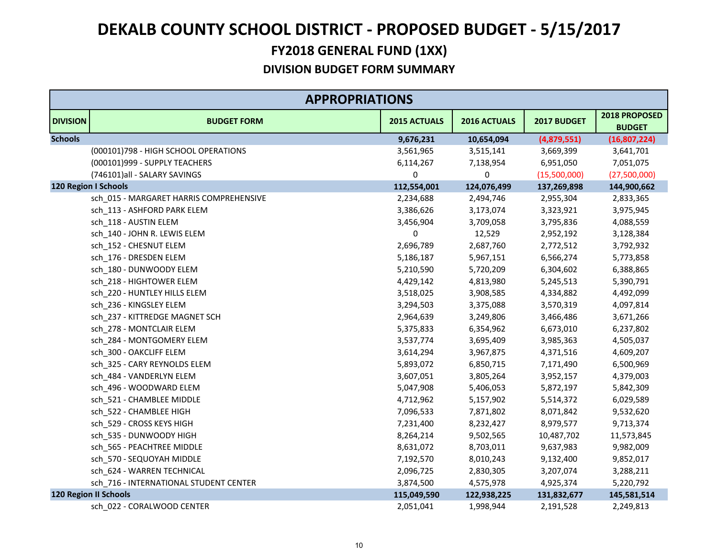|                 | <b>APPROPRIATIONS</b>                   |              |              |              |                                |
|-----------------|-----------------------------------------|--------------|--------------|--------------|--------------------------------|
| <b>DIVISION</b> | <b>BUDGET FORM</b>                      | 2015 ACTUALS | 2016 ACTUALS | 2017 BUDGET  | 2018 PROPOSED<br><b>BUDGET</b> |
| <b>Schools</b>  |                                         | 9,676,231    | 10,654,094   | (4,879,551)  | (16,807,224)                   |
|                 | (000101)798 - HIGH SCHOOL OPERATIONS    | 3,561,965    | 3,515,141    | 3,669,399    | 3,641,701                      |
|                 | (000101)999 - SUPPLY TEACHERS           | 6,114,267    | 7,138,954    | 6,951,050    | 7,051,075                      |
|                 | (746101)all - SALARY SAVINGS            | 0            | 0            | (15,500,000) | (27,500,000)                   |
|                 | <b>120 Region I Schools</b>             | 112,554,001  | 124,076,499  | 137,269,898  | 144,900,662                    |
|                 | sch_015 - MARGARET HARRIS COMPREHENSIVE | 2,234,688    | 2,494,746    | 2,955,304    | 2,833,365                      |
|                 | sch_113 - ASHFORD PARK ELEM             | 3,386,626    | 3,173,074    | 3,323,921    | 3,975,945                      |
|                 | sch_118 - AUSTIN ELEM                   | 3,456,904    | 3,709,058    | 3,795,836    | 4,088,559                      |
|                 | sch_140 - JOHN R. LEWIS ELEM            | 0            | 12,529       | 2,952,192    | 3,128,384                      |
|                 | sch_152 - CHESNUT ELEM                  | 2,696,789    | 2,687,760    | 2,772,512    | 3,792,932                      |
|                 | sch 176 - DRESDEN ELEM                  | 5,186,187    | 5,967,151    | 6,566,274    | 5,773,858                      |
|                 | sch 180 - DUNWOODY ELEM                 | 5,210,590    | 5,720,209    | 6,304,602    | 6,388,865                      |
|                 | sch_218 - HIGHTOWER ELEM                | 4,429,142    | 4,813,980    | 5,245,513    | 5,390,791                      |
|                 | sch_220 - HUNTLEY HILLS ELEM            | 3,518,025    | 3,908,585    | 4,334,882    | 4,492,099                      |
|                 | sch 236 - KINGSLEY ELEM                 | 3,294,503    | 3,375,088    | 3,570,319    | 4,097,814                      |
|                 | sch 237 - KITTREDGE MAGNET SCH          | 2,964,639    | 3,249,806    | 3,466,486    | 3,671,266                      |
|                 | sch_278 - MONTCLAIR ELEM                | 5,375,833    | 6,354,962    | 6,673,010    | 6,237,802                      |
|                 | sch 284 - MONTGOMERY ELEM               | 3,537,774    | 3,695,409    | 3,985,363    | 4,505,037                      |
|                 | sch_300 - OAKCLIFF ELEM                 | 3,614,294    | 3,967,875    | 4,371,516    | 4,609,207                      |
|                 | sch 325 - CARY REYNOLDS ELEM            | 5,893,072    | 6,850,715    | 7,171,490    | 6,500,969                      |
|                 | sch_484 - VANDERLYN ELEM                | 3,607,051    | 3,805,264    | 3,952,157    | 4,379,003                      |
|                 | sch_496 - WOODWARD ELEM                 | 5,047,908    | 5,406,053    | 5,872,197    | 5,842,309                      |
|                 | sch_521 - CHAMBLEE MIDDLE               | 4,712,962    | 5,157,902    | 5,514,372    | 6,029,589                      |
|                 | sch 522 - CHAMBLEE HIGH                 | 7,096,533    | 7,871,802    | 8,071,842    | 9,532,620                      |
|                 | sch_529 - CROSS KEYS HIGH               | 7,231,400    | 8,232,427    | 8,979,577    | 9,713,374                      |
|                 | sch 535 - DUNWOODY HIGH                 | 8,264,214    | 9,502,565    | 10,487,702   | 11,573,845                     |
|                 | sch_565 - PEACHTREE MIDDLE              | 8,631,072    | 8,703,011    | 9,637,983    | 9,982,009                      |
|                 | sch 570 - SEQUOYAH MIDDLE               | 7,192,570    | 8,010,243    | 9,132,400    | 9,852,017                      |
|                 | sch 624 - WARREN TECHNICAL              | 2,096,725    | 2,830,305    | 3,207,074    | 3,288,211                      |
|                 | sch_716 - INTERNATIONAL STUDENT CENTER  | 3,874,500    | 4,575,978    | 4,925,374    | 5,220,792                      |
|                 | <b>120 Region II Schools</b>            | 115,049,590  | 122,938,225  | 131,832,677  | 145,581,514                    |
|                 | sch 022 - CORALWOOD CENTER              | 2,051,041    | 1,998,944    | 2,191,528    | 2,249,813                      |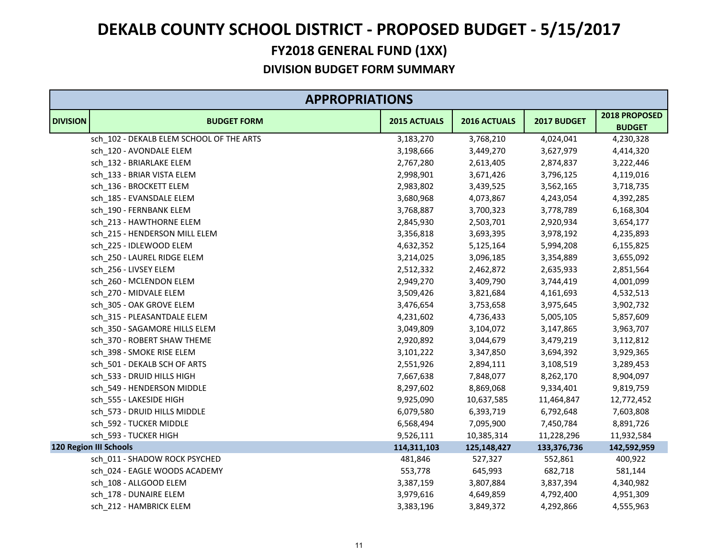|                 | <b>APPROPRIATIONS</b>                    |              |              |             |                                |  |  |
|-----------------|------------------------------------------|--------------|--------------|-------------|--------------------------------|--|--|
| <b>DIVISION</b> | <b>BUDGET FORM</b>                       | 2015 ACTUALS | 2016 ACTUALS | 2017 BUDGET | 2018 PROPOSED<br><b>BUDGET</b> |  |  |
|                 | sch_102 - DEKALB ELEM SCHOOL OF THE ARTS | 3,183,270    | 3,768,210    | 4,024,041   | 4,230,328                      |  |  |
|                 | sch_120 - AVONDALE ELEM                  | 3,198,666    | 3,449,270    | 3,627,979   | 4,414,320                      |  |  |
|                 | sch 132 - BRIARLAKE ELEM                 | 2,767,280    | 2,613,405    | 2,874,837   | 3,222,446                      |  |  |
|                 | sch_133 - BRIAR VISTA ELEM               | 2,998,901    | 3,671,426    | 3,796,125   | 4,119,016                      |  |  |
|                 | sch_136 - BROCKETT ELEM                  | 2,983,802    | 3,439,525    | 3,562,165   | 3,718,735                      |  |  |
|                 | sch_185 - EVANSDALE ELEM                 | 3,680,968    | 4,073,867    | 4,243,054   | 4,392,285                      |  |  |
|                 | sch_190 - FERNBANK ELEM                  | 3,768,887    | 3,700,323    | 3,778,789   | 6,168,304                      |  |  |
|                 | sch 213 - HAWTHORNE ELEM                 | 2,845,930    | 2,503,701    | 2,920,934   | 3,654,177                      |  |  |
|                 | sch 215 - HENDERSON MILL ELEM            | 3,356,818    | 3,693,395    | 3,978,192   | 4,235,893                      |  |  |
|                 | sch_225 - IDLEWOOD ELEM                  | 4,632,352    | 5,125,164    | 5,994,208   | 6,155,825                      |  |  |
|                 | sch_250 - LAUREL RIDGE ELEM              | 3,214,025    | 3,096,185    | 3,354,889   | 3,655,092                      |  |  |
|                 | sch 256 - LIVSEY ELEM                    | 2,512,332    | 2,462,872    | 2,635,933   | 2,851,564                      |  |  |
|                 | sch_260 - MCLENDON ELEM                  | 2,949,270    | 3,409,790    | 3,744,419   | 4,001,099                      |  |  |
|                 | sch_270 - MIDVALE ELEM                   | 3,509,426    | 3,821,684    | 4,161,693   | 4,532,513                      |  |  |
|                 | sch 305 - OAK GROVE ELEM                 | 3,476,654    | 3,753,658    | 3,975,645   | 3,902,732                      |  |  |
|                 | sch_315 - PLEASANTDALE ELEM              | 4,231,602    | 4,736,433    | 5,005,105   | 5,857,609                      |  |  |
|                 | sch 350 - SAGAMORE HILLS ELEM            | 3,049,809    | 3,104,072    | 3,147,865   | 3,963,707                      |  |  |
|                 | sch_370 - ROBERT SHAW THEME              | 2,920,892    | 3,044,679    | 3,479,219   | 3,112,812                      |  |  |
|                 | sch_398 - SMOKE RISE ELEM                | 3,101,222    | 3,347,850    | 3,694,392   | 3,929,365                      |  |  |
|                 | sch 501 - DEKALB SCH OF ARTS             | 2,551,926    | 2,894,111    | 3,108,519   | 3,289,453                      |  |  |
|                 | sch_533 - DRUID HILLS HIGH               | 7,667,638    | 7,848,077    | 8,262,170   | 8,904,097                      |  |  |
|                 | sch_549 - HENDERSON MIDDLE               | 8,297,602    | 8,869,068    | 9,334,401   | 9,819,759                      |  |  |
|                 | sch 555 - LAKESIDE HIGH                  | 9,925,090    | 10,637,585   | 11,464,847  | 12,772,452                     |  |  |
|                 | sch_573 - DRUID HILLS MIDDLE             | 6,079,580    | 6,393,719    | 6,792,648   | 7,603,808                      |  |  |
|                 | sch_592 - TUCKER MIDDLE                  | 6,568,494    | 7,095,900    | 7,450,784   | 8,891,726                      |  |  |
|                 | sch 593 - TUCKER HIGH                    | 9,526,111    | 10,385,314   | 11,228,296  | 11,932,584                     |  |  |
|                 | <b>120 Region III Schools</b>            | 114,311,103  | 125,148,427  | 133,376,736 | 142,592,959                    |  |  |
|                 | sch_011 - SHADOW ROCK PSYCHED            | 481,846      | 527,327      | 552,861     | 400,922                        |  |  |
|                 | sch 024 - EAGLE WOODS ACADEMY            | 553,778      | 645,993      | 682,718     | 581,144                        |  |  |
|                 | sch_108 - ALLGOOD ELEM                   | 3,387,159    | 3,807,884    | 3,837,394   | 4,340,982                      |  |  |
|                 | sch_178 - DUNAIRE ELEM                   | 3,979,616    | 4,649,859    | 4,792,400   | 4,951,309                      |  |  |
|                 | sch 212 - HAMBRICK ELEM                  | 3,383,196    | 3,849,372    | 4,292,866   | 4,555,963                      |  |  |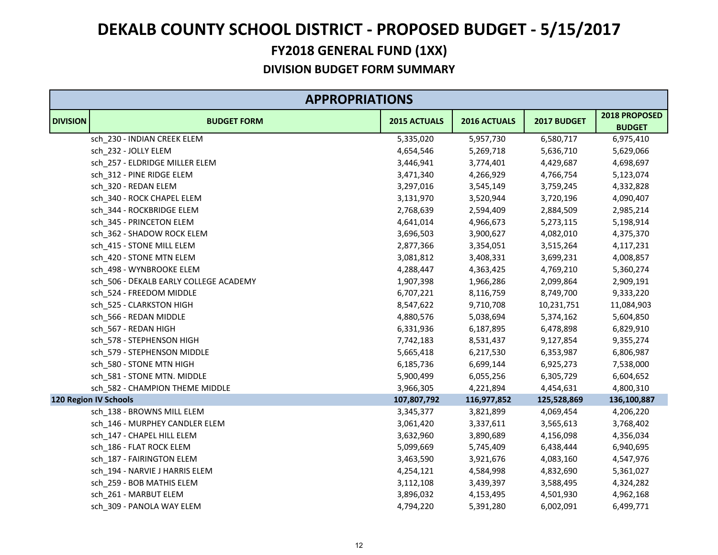|                 | <b>APPROPRIATIONS</b>                  |                     |              |             |                                |  |  |
|-----------------|----------------------------------------|---------------------|--------------|-------------|--------------------------------|--|--|
| <b>DIVISION</b> | <b>BUDGET FORM</b>                     | <b>2015 ACTUALS</b> | 2016 ACTUALS | 2017 BUDGET | 2018 PROPOSED<br><b>BUDGET</b> |  |  |
|                 | sch_230 - INDIAN CREEK ELEM            | 5,335,020           | 5,957,730    | 6,580,717   | 6,975,410                      |  |  |
|                 | sch 232 - JOLLY ELEM                   | 4,654,546           | 5,269,718    | 5,636,710   | 5,629,066                      |  |  |
|                 | sch 257 - ELDRIDGE MILLER ELEM         | 3,446,941           | 3,774,401    | 4,429,687   | 4,698,697                      |  |  |
|                 | sch_312 - PINE RIDGE ELEM              | 3,471,340           | 4,266,929    | 4,766,754   | 5,123,074                      |  |  |
|                 | sch_320 - REDAN ELEM                   | 3,297,016           | 3,545,149    | 3,759,245   | 4,332,828                      |  |  |
|                 | sch 340 - ROCK CHAPEL ELEM             | 3,131,970           | 3,520,944    | 3,720,196   | 4,090,407                      |  |  |
|                 | sch_344 - ROCKBRIDGE ELEM              | 2,768,639           | 2,594,409    | 2,884,509   | 2,985,214                      |  |  |
|                 | sch 345 - PRINCETON ELEM               | 4,641,014           | 4,966,673    | 5,273,115   | 5,198,914                      |  |  |
|                 | sch 362 - SHADOW ROCK ELEM             | 3,696,503           | 3,900,627    | 4,082,010   | 4,375,370                      |  |  |
|                 | sch_415 - STONE MILL ELEM              | 2,877,366           | 3,354,051    | 3,515,264   | 4,117,231                      |  |  |
|                 | sch 420 - STONE MTN ELEM               | 3,081,812           | 3,408,331    | 3,699,231   | 4,008,857                      |  |  |
|                 | sch_498 - WYNBROOKE ELEM               | 4,288,447           | 4,363,425    | 4,769,210   | 5,360,274                      |  |  |
|                 | sch_506 - DEKALB EARLY COLLEGE ACADEMY | 1,907,398           | 1,966,286    | 2,099,864   | 2,909,191                      |  |  |
|                 | sch_524 - FREEDOM MIDDLE               | 6,707,221           | 8,116,759    | 8,749,700   | 9,333,220                      |  |  |
|                 | sch_525 - CLARKSTON HIGH               | 8,547,622           | 9,710,708    | 10,231,751  | 11,084,903                     |  |  |
|                 | sch_566 - REDAN MIDDLE                 | 4,880,576           | 5,038,694    | 5,374,162   | 5,604,850                      |  |  |
|                 | sch 567 - REDAN HIGH                   | 6,331,936           | 6,187,895    | 6,478,898   | 6,829,910                      |  |  |
|                 | sch_578 - STEPHENSON HIGH              | 7,742,183           | 8,531,437    | 9,127,854   | 9,355,274                      |  |  |
|                 | sch_579 - STEPHENSON MIDDLE            | 5,665,418           | 6,217,530    | 6,353,987   | 6,806,987                      |  |  |
|                 | sch 580 - STONE MTN HIGH               | 6,185,736           | 6,699,144    | 6,925,273   | 7,538,000                      |  |  |
|                 | sch_581 - STONE MTN. MIDDLE            | 5,900,499           | 6,055,256    | 6,305,729   | 6,604,652                      |  |  |
|                 | sch_582 - CHAMPION THEME MIDDLE        | 3,966,305           | 4,221,894    | 4,454,631   | 4,800,310                      |  |  |
|                 | <b>120 Region IV Schools</b>           | 107,807,792         | 116,977,852  | 125,528,869 | 136,100,887                    |  |  |
|                 | sch_138 - BROWNS MILL ELEM             | 3,345,377           | 3,821,899    | 4,069,454   | 4,206,220                      |  |  |
|                 | sch_146 - MURPHEY CANDLER ELEM         | 3,061,420           | 3,337,611    | 3,565,613   | 3,768,402                      |  |  |
|                 | sch_147 - CHAPEL HILL ELEM             | 3,632,960           | 3,890,689    | 4,156,098   | 4,356,034                      |  |  |
|                 | sch_186 - FLAT ROCK ELEM               | 5,099,669           | 5,745,409    | 6,438,444   | 6,940,695                      |  |  |
|                 | sch 187 - FAIRINGTON ELEM              | 3,463,590           | 3,921,676    | 4,083,160   | 4,547,976                      |  |  |
|                 | sch 194 - NARVIE J HARRIS ELEM         | 4,254,121           | 4,584,998    | 4,832,690   | 5,361,027                      |  |  |
|                 | sch_259 - BOB MATHIS ELEM              | 3,112,108           | 3,439,397    | 3,588,495   | 4,324,282                      |  |  |
|                 | sch_261 - MARBUT ELEM                  | 3,896,032           | 4,153,495    | 4,501,930   | 4,962,168                      |  |  |
|                 | sch 309 - PANOLA WAY ELEM              | 4,794,220           | 5,391,280    | 6,002,091   | 6,499,771                      |  |  |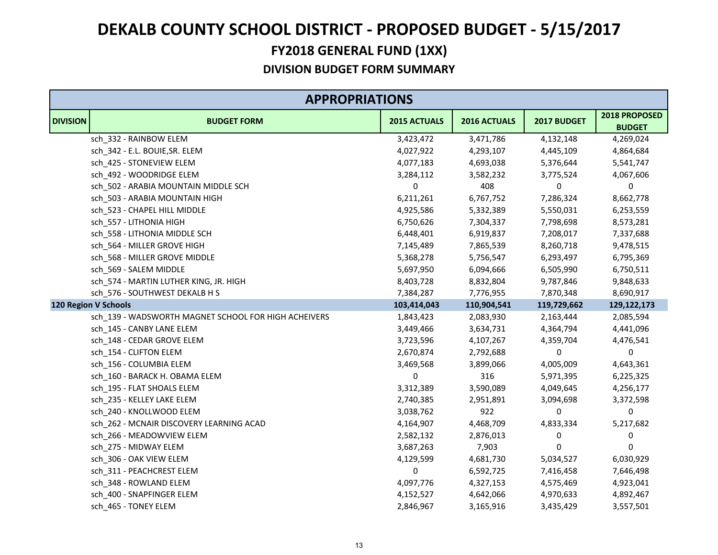|                 | <b>APPROPRIATIONS</b>                                |              |              |             |                                |  |
|-----------------|------------------------------------------------------|--------------|--------------|-------------|--------------------------------|--|
| <b>DIVISION</b> | <b>BUDGET FORM</b>                                   | 2015 ACTUALS | 2016 ACTUALS | 2017 BUDGET | 2018 PROPOSED<br><b>BUDGET</b> |  |
|                 | sch_332 - RAINBOW ELEM                               | 3,423,472    | 3,471,786    | 4,132,148   | 4,269,024                      |  |
|                 | sch_342 - E.L. BOUIE, SR. ELEM                       | 4,027,922    | 4,293,107    | 4,445,109   | 4,864,684                      |  |
|                 | sch_425 - STONEVIEW ELEM                             | 4,077,183    | 4,693,038    | 5,376,644   | 5,541,747                      |  |
|                 | sch 492 - WOODRIDGE ELEM                             | 3,284,112    | 3,582,232    | 3,775,524   | 4,067,606                      |  |
|                 | sch_502 - ARABIA MOUNTAIN MIDDLE SCH                 | 0            | 408          | 0           | 0                              |  |
|                 | sch_503 - ARABIA MOUNTAIN HIGH                       | 6,211,261    | 6,767,752    | 7,286,324   | 8,662,778                      |  |
|                 | sch_523 - CHAPEL HILL MIDDLE                         | 4,925,586    | 5,332,389    | 5,550,031   | 6,253,559                      |  |
|                 | sch_557 - LITHONIA HIGH                              | 6,750,626    | 7,304,337    | 7,798,698   | 8,573,281                      |  |
|                 | sch_558 - LITHONIA MIDDLE SCH                        | 6,448,401    | 6,919,837    | 7,208,017   | 7,337,688                      |  |
|                 | sch 564 - MILLER GROVE HIGH                          | 7,145,489    | 7,865,539    | 8,260,718   | 9,478,515                      |  |
|                 | sch_568 - MILLER GROVE MIDDLE                        | 5,368,278    | 5,756,547    | 6,293,497   | 6,795,369                      |  |
|                 | sch 569 - SALEM MIDDLE                               | 5,697,950    | 6,094,666    | 6,505,990   | 6,750,511                      |  |
|                 | sch_574 - MARTIN LUTHER KING, JR. HIGH               | 8,403,728    | 8,832,804    | 9,787,846   | 9,848,633                      |  |
|                 | sch_576 - SOUTHWEST DEKALB H S                       | 7,384,287    | 7,776,955    | 7,870,348   | 8,690,917                      |  |
|                 | 120 Region V Schools                                 | 103,414,043  | 110,904,541  | 119,729,662 | 129,122,173                    |  |
|                 | sch_139 - WADSWORTH MAGNET SCHOOL FOR HIGH ACHEIVERS | 1,843,423    | 2,083,930    | 2,163,444   | 2,085,594                      |  |
|                 | sch_145 - CANBY LANE ELEM                            | 3,449,466    | 3,634,731    | 4,364,794   | 4,441,096                      |  |
|                 | sch_148 - CEDAR GROVE ELEM                           | 3,723,596    | 4,107,267    | 4,359,704   | 4,476,541                      |  |
|                 | sch_154 - CLIFTON ELEM                               | 2,670,874    | 2,792,688    | 0           | 0                              |  |
|                 | sch_156 - COLUMBIA ELEM                              | 3,469,568    | 3,899,066    | 4,005,009   | 4,643,361                      |  |
|                 | sch_160 - BARACK H. OBAMA ELEM                       | 0            | 316          | 5,971,395   | 6,225,325                      |  |
|                 | sch_195 - FLAT SHOALS ELEM                           | 3,312,389    | 3,590,089    | 4,049,645   | 4,256,177                      |  |
|                 | sch_235 - KELLEY LAKE ELEM                           | 2,740,385    | 2,951,891    | 3,094,698   | 3,372,598                      |  |
|                 | sch 240 - KNOLLWOOD ELEM                             | 3,038,762    | 922          | $\pmb{0}$   | 0                              |  |
|                 | sch_262 - MCNAIR DISCOVERY LEARNING ACAD             | 4,164,907    | 4,468,709    | 4,833,334   | 5,217,682                      |  |
|                 | sch_266 - MEADOWVIEW ELEM                            | 2,582,132    | 2,876,013    | $\pmb{0}$   | 0                              |  |
|                 | sch_275 - MIDWAY ELEM                                | 3,687,263    | 7,903        | 0           | 0                              |  |
|                 | sch 306 - OAK VIEW ELEM                              | 4,129,599    | 4,681,730    | 5,034,527   | 6,030,929                      |  |
|                 | sch_311 - PEACHCREST ELEM                            | 0            | 6,592,725    | 7,416,458   | 7,646,498                      |  |
|                 | sch_348 - ROWLAND ELEM                               | 4,097,776    | 4,327,153    | 4,575,469   | 4,923,041                      |  |
|                 | sch_400 - SNAPFINGER ELEM                            | 4,152,527    | 4,642,066    | 4,970,633   | 4,892,467                      |  |
|                 | sch 465 - TONEY ELEM                                 | 2,846,967    | 3,165,916    | 3,435,429   | 3,557,501                      |  |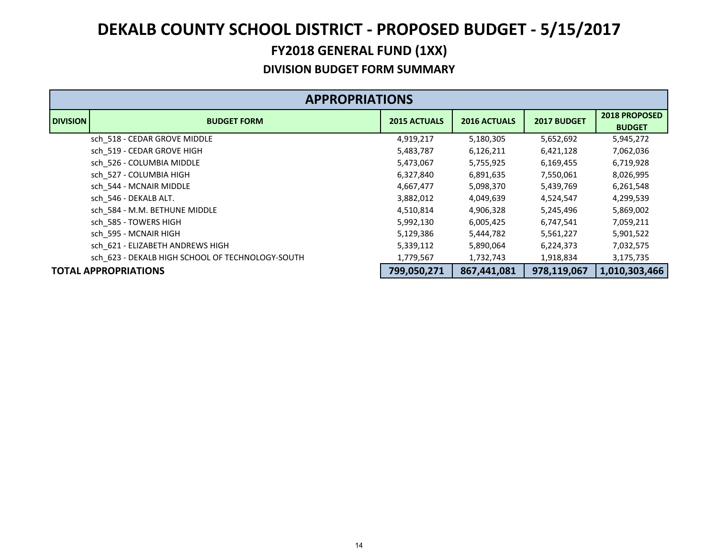|                 | <b>APPROPRIATIONS</b>                            |                     |                     |             |                                       |  |  |
|-----------------|--------------------------------------------------|---------------------|---------------------|-------------|---------------------------------------|--|--|
| <b>DIVISION</b> | <b>BUDGET FORM</b>                               | <b>2015 ACTUALS</b> | <b>2016 ACTUALS</b> | 2017 BUDGET | <b>2018 PROPOSED</b><br><b>BUDGET</b> |  |  |
|                 | sch_518 - CEDAR GROVE MIDDLE                     | 4,919,217           | 5,180,305           | 5,652,692   | 5,945,272                             |  |  |
|                 | sch_519 - CEDAR GROVE HIGH                       | 5,483,787           | 6,126,211           | 6,421,128   | 7,062,036                             |  |  |
|                 | sch 526 - COLUMBIA MIDDLE                        | 5,473,067           | 5,755,925           | 6,169,455   | 6,719,928                             |  |  |
|                 | sch 527 - COLUMBIA HIGH                          | 6,327,840           | 6,891,635           | 7,550,061   | 8,026,995                             |  |  |
|                 | sch 544 - MCNAIR MIDDLE                          | 4,667,477           | 5,098,370           | 5,439,769   | 6,261,548                             |  |  |
|                 | sch 546 - DEKALB ALT.                            | 3,882,012           | 4,049,639           | 4,524,547   | 4,299,539                             |  |  |
|                 | sch 584 - M.M. BETHUNE MIDDLE                    | 4,510,814           | 4,906,328           | 5,245,496   | 5,869,002                             |  |  |
|                 | sch 585 - TOWERS HIGH                            | 5,992,130           | 6,005,425           | 6,747,541   | 7,059,211                             |  |  |
|                 | sch 595 - MCNAIR HIGH                            | 5,129,386           | 5,444,782           | 5,561,227   | 5,901,522                             |  |  |
|                 | sch 621 - ELIZABETH ANDREWS HIGH                 | 5,339,112           | 5,890,064           | 6,224,373   | 7,032,575                             |  |  |
|                 | sch 623 - DEKALB HIGH SCHOOL OF TECHNOLOGY-SOUTH | 1,779,567           | 1,732,743           | 1,918,834   | 3,175,735                             |  |  |
|                 | <b>TOTAL APPROPRIATIONS</b>                      | 799,050,271         | 867,441,081         | 978,119,067 | 1,010,303,466                         |  |  |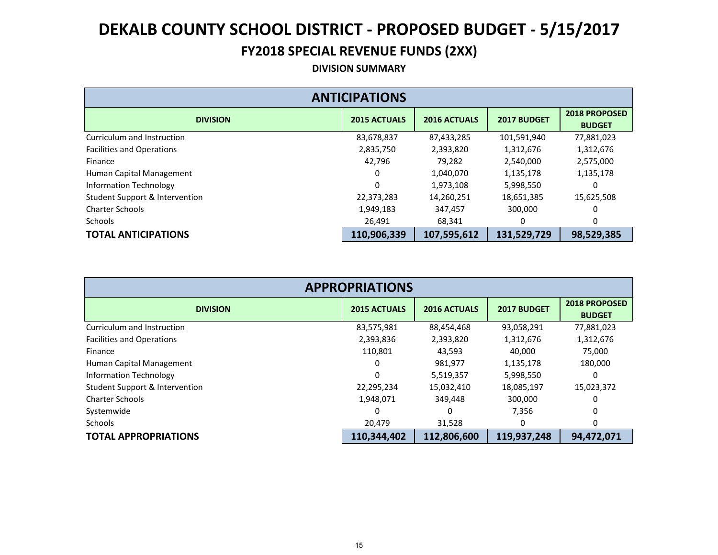### **FY2018 SPECIAL REVENUE FUNDS (2XX)**

#### **DIVISION SUMMARY**

| <b>ANTICIPATIONS</b>             |                     |                     |             |                                       |  |  |  |
|----------------------------------|---------------------|---------------------|-------------|---------------------------------------|--|--|--|
| <b>DIVISION</b>                  | <b>2015 ACTUALS</b> | <b>2016 ACTUALS</b> | 2017 BUDGET | <b>2018 PROPOSED</b><br><b>BUDGET</b> |  |  |  |
| Curriculum and Instruction       | 83,678,837          | 87,433,285          | 101,591,940 | 77,881,023                            |  |  |  |
| <b>Facilities and Operations</b> | 2,835,750           | 2,393,820           | 1,312,676   | 1,312,676                             |  |  |  |
| Finance                          | 42,796              | 79,282              | 2,540,000   | 2,575,000                             |  |  |  |
| Human Capital Management         | 0                   | 1,040,070           | 1,135,178   | 1,135,178                             |  |  |  |
| <b>Information Technology</b>    | 0                   | 1,973,108           | 5,998,550   |                                       |  |  |  |
| Student Support & Intervention   | 22,373,283          | 14,260,251          | 18,651,385  | 15,625,508                            |  |  |  |
| <b>Charter Schools</b>           | 1,949,183           | 347,457             | 300,000     |                                       |  |  |  |
| <b>Schools</b>                   | 26,491              | 68,341              | 0           | 0                                     |  |  |  |
| <b>TOTAL ANTICIPATIONS</b>       | 110,906,339         | 107,595,612         | 131,529,729 | 98,529,385                            |  |  |  |

| <b>APPROPRIATIONS</b>            |                     |                     |             |                                       |  |  |  |  |
|----------------------------------|---------------------|---------------------|-------------|---------------------------------------|--|--|--|--|
| <b>DIVISION</b>                  | <b>2015 ACTUALS</b> | <b>2016 ACTUALS</b> | 2017 BUDGET | <b>2018 PROPOSED</b><br><b>BUDGET</b> |  |  |  |  |
| Curriculum and Instruction       | 83,575,981          | 88,454,468          | 93,058,291  | 77,881,023                            |  |  |  |  |
| <b>Facilities and Operations</b> | 2,393,836           | 2,393,820           | 1,312,676   | 1,312,676                             |  |  |  |  |
| Finance                          | 110,801             | 43,593              | 40,000      | 75,000                                |  |  |  |  |
| Human Capital Management         | 0                   | 981,977             | 1,135,178   | 180,000                               |  |  |  |  |
| Information Technology           | $\Omega$            | 5,519,357           | 5,998,550   | 0                                     |  |  |  |  |
| Student Support & Intervention   | 22,295,234          | 15,032,410          | 18,085,197  | 15,023,372                            |  |  |  |  |
| <b>Charter Schools</b>           | 1,948,071           | 349,448             | 300,000     | 0                                     |  |  |  |  |
| Systemwide                       | $\Omega$            | 0                   | 7,356       | 0                                     |  |  |  |  |
| <b>Schools</b>                   | 20,479              | 31,528              | 0           | 0                                     |  |  |  |  |
| <b>TOTAL APPROPRIATIONS</b>      | 110,344,402         | 112,806,600         | 119,937,248 | 94,472,071                            |  |  |  |  |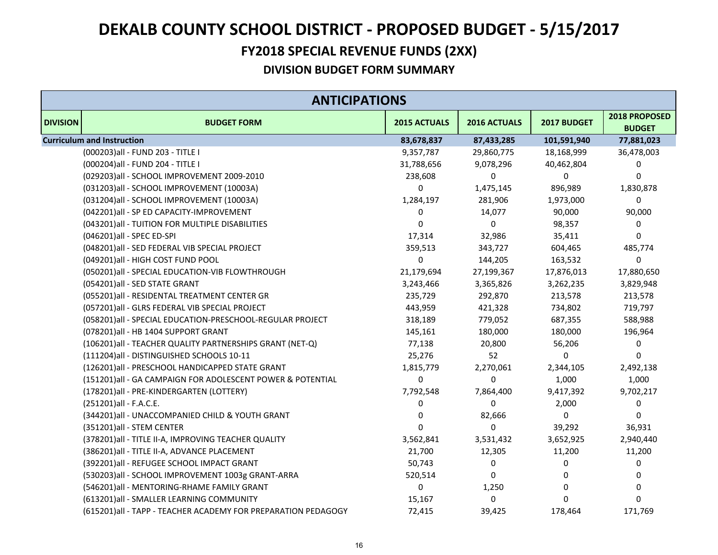### **FY2018 SPECIAL REVENUE FUNDS (2XX)**

|                 | <b>ANTICIPATIONS</b>                                          |              |              |             |                                |  |  |
|-----------------|---------------------------------------------------------------|--------------|--------------|-------------|--------------------------------|--|--|
| <b>DIVISION</b> | <b>BUDGET FORM</b>                                            | 2015 ACTUALS | 2016 ACTUALS | 2017 BUDGET | 2018 PROPOSED<br><b>BUDGET</b> |  |  |
|                 | <b>Curriculum and Instruction</b>                             | 83,678,837   | 87,433,285   | 101,591,940 | 77,881,023                     |  |  |
|                 | (000203)all - FUND 203 - TITLE I                              | 9,357,787    | 29,860,775   | 18,168,999  | 36,478,003                     |  |  |
|                 | (000204) all - FUND 204 - TITLE I                             | 31,788,656   | 9,078,296    | 40,462,804  | 0                              |  |  |
|                 | (029203)all - SCHOOL IMPROVEMENT 2009-2010                    | 238,608      | 0            | 0           | 0                              |  |  |
|                 | (031203)all - SCHOOL IMPROVEMENT (10003A)                     | 0            | 1,475,145    | 896,989     | 1,830,878                      |  |  |
|                 | (031204)all - SCHOOL IMPROVEMENT (10003A)                     | 1,284,197    | 281,906      | 1,973,000   | 0                              |  |  |
|                 | (042201)all - SP ED CAPACITY-IMPROVEMENT                      | 0            | 14,077       | 90,000      | 90,000                         |  |  |
|                 | (043201) all - TUITION FOR MULTIPLE DISABILITIES              | $\mathbf 0$  | 0            | 98,357      | 0                              |  |  |
|                 | (046201)all - SPEC ED-SPI                                     | 17,314       | 32,986       | 35,411      | 0                              |  |  |
|                 | (048201)all - SED FEDERAL VIB SPECIAL PROJECT                 | 359,513      | 343,727      | 604,465     | 485,774                        |  |  |
|                 | (049201)all - HIGH COST FUND POOL                             | 0            | 144,205      | 163,532     | 0                              |  |  |
|                 | (050201)all - SPECIAL EDUCATION-VIB FLOWTHROUGH               | 21,179,694   | 27,199,367   | 17,876,013  | 17,880,650                     |  |  |
|                 | (054201)all - SED STATE GRANT                                 | 3,243,466    | 3,365,826    | 3,262,235   | 3,829,948                      |  |  |
|                 | (055201)all - RESIDENTAL TREATMENT CENTER GR                  | 235,729      | 292,870      | 213,578     | 213,578                        |  |  |
|                 | (057201)all - GLRS FEDERAL VIB SPECIAL PROJECT                | 443,959      | 421,328      | 734,802     | 719,797                        |  |  |
|                 | (058201) all - SPECIAL EDUCATION-PRESCHOOL-REGULAR PROJECT    | 318,189      | 779,052      | 687,355     | 588,988                        |  |  |
|                 | (078201)all - HB 1404 SUPPORT GRANT                           | 145,161      | 180,000      | 180,000     | 196,964                        |  |  |
|                 | (106201) all - TEACHER QUALITY PARTNERSHIPS GRANT (NET-Q)     | 77,138       | 20,800       | 56,206      | 0                              |  |  |
|                 | (111204)all - DISTINGUISHED SCHOOLS 10-11                     | 25,276       | 52           | $\Omega$    | $\Omega$                       |  |  |
|                 | (126201)all - PRESCHOOL HANDICAPPED STATE GRANT               | 1,815,779    | 2,270,061    | 2,344,105   | 2,492,138                      |  |  |
|                 | (151201)all - GA CAMPAIGN FOR ADOLESCENT POWER & POTENTIAL    | $\mathbf 0$  | 0            | 1,000       | 1,000                          |  |  |
|                 | (178201)all - PRE-KINDERGARTEN (LOTTERY)                      | 7,792,548    | 7,864,400    | 9,417,392   | 9,702,217                      |  |  |
|                 | (251201)all - F.A.C.E.                                        | 0            | $\mathbf 0$  | 2,000       | 0                              |  |  |
|                 | (344201)all - UNACCOMPANIED CHILD & YOUTH GRANT               | 0            | 82,666       | 0           | 0                              |  |  |
|                 | (351201)all - STEM CENTER                                     | $\mathbf 0$  | 0            | 39,292      | 36,931                         |  |  |
|                 | (378201) all - TITLE II-A, IMPROVING TEACHER QUALITY          | 3,562,841    | 3,531,432    | 3,652,925   | 2,940,440                      |  |  |
|                 | (386201) all - TITLE II-A, ADVANCE PLACEMENT                  | 21,700       | 12,305       | 11,200      | 11,200                         |  |  |
|                 | (392201)all - REFUGEE SCHOOL IMPACT GRANT                     | 50,743       | 0            | 0           | 0                              |  |  |
|                 | (530203)all - SCHOOL IMPROVEMENT 1003g GRANT-ARRA             | 520,514      | 0            | 0           | 0                              |  |  |
|                 | (546201)all - MENTORING-RHAME FAMILY GRANT                    | 0            | 1,250        | 0           | 0                              |  |  |
|                 | (613201)all - SMALLER LEARNING COMMUNITY                      | 15,167       | 0            | 0           | $\Omega$                       |  |  |
|                 | (615201)all - TAPP - TEACHER ACADEMY FOR PREPARATION PEDAGOGY | 72,415       | 39,425       | 178,464     | 171,769                        |  |  |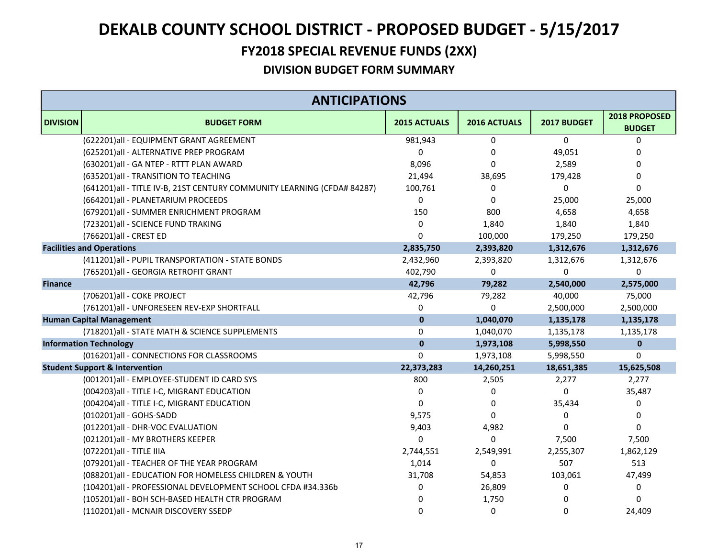### **FY2018 SPECIAL REVENUE FUNDS (2XX)**

|                 | <b>ANTICIPATIONS</b>                                                     |              |              |             |                                |  |
|-----------------|--------------------------------------------------------------------------|--------------|--------------|-------------|--------------------------------|--|
| <b>DIVISION</b> | <b>BUDGET FORM</b>                                                       | 2015 ACTUALS | 2016 ACTUALS | 2017 BUDGET | 2018 PROPOSED<br><b>BUDGET</b> |  |
|                 | (622201)all - EQUIPMENT GRANT AGREEMENT                                  | 981,943      | $\mathbf 0$  | $\Omega$    | 0                              |  |
|                 | (625201)all - ALTERNATIVE PREP PROGRAM                                   | $\Omega$     | 0            | 49,051      | 0                              |  |
|                 | (630201)all - GA NTEP - RTTT PLAN AWARD                                  | 8,096        | $\Omega$     | 2,589       | 0                              |  |
|                 | (635201) all - TRANSITION TO TEACHING                                    | 21,494       | 38,695       | 179,428     | 0                              |  |
|                 | (641201) all - TITLE IV-B, 21ST CENTURY COMMUNITY LEARNING (CFDA# 84287) | 100,761      | 0            | $\Omega$    | 0                              |  |
|                 | (664201)all - PLANETARIUM PROCEEDS                                       | $\Omega$     | $\mathbf 0$  | 25,000      | 25,000                         |  |
|                 | (679201)all - SUMMER ENRICHMENT PROGRAM                                  | 150          | 800          | 4,658       | 4,658                          |  |
|                 | (723201)all - SCIENCE FUND TRAKING                                       | $\Omega$     | 1,840        | 1,840       | 1,840                          |  |
|                 | (766201) all - CREST ED                                                  | $\Omega$     | 100,000      | 179,250     | 179,250                        |  |
|                 | <b>Facilities and Operations</b>                                         | 2,835,750    | 2,393,820    | 1,312,676   | 1,312,676                      |  |
|                 | (411201)all - PUPIL TRANSPORTATION - STATE BONDS                         | 2,432,960    | 2,393,820    | 1,312,676   | 1,312,676                      |  |
|                 | (765201)all - GEORGIA RETROFIT GRANT                                     | 402,790      | $\pmb{0}$    | $\Omega$    | $\mathbf 0$                    |  |
| <b>Finance</b>  |                                                                          | 42,796       | 79,282       | 2,540,000   | 2,575,000                      |  |
|                 | (706201)all - COKE PROJECT                                               | 42,796       | 79,282       | 40,000      | 75,000                         |  |
|                 | (761201)all - UNFORESEEN REV-EXP SHORTFALL                               | 0            | 0            | 2,500,000   | 2,500,000                      |  |
|                 | <b>Human Capital Management</b>                                          | $\mathbf{0}$ | 1,040,070    | 1,135,178   | 1,135,178                      |  |
|                 | (718201) all - STATE MATH & SCIENCE SUPPLEMENTS                          | $\Omega$     | 1,040,070    | 1,135,178   | 1,135,178                      |  |
|                 | <b>Information Technology</b>                                            | $\mathbf{0}$ | 1,973,108    | 5,998,550   | $\mathbf 0$                    |  |
|                 | (016201)all - CONNECTIONS FOR CLASSROOMS                                 | $\Omega$     | 1,973,108    | 5,998,550   | 0                              |  |
|                 | <b>Student Support &amp; Intervention</b>                                | 22,373,283   | 14,260,251   | 18,651,385  | 15,625,508                     |  |
|                 | (001201)all - EMPLOYEE-STUDENT ID CARD SYS                               | 800          | 2,505        | 2,277       | 2,277                          |  |
|                 | (004203)all - TITLE I-C, MIGRANT EDUCATION                               | 0            | 0            | 0           | 35,487                         |  |
|                 | (004204) all - TITLE I-C, MIGRANT EDUCATION                              | $\mathbf 0$  | 0            | 35,434      | 0                              |  |
|                 | (010201)all - GOHS-SADD                                                  | 9,575        | $\mathbf 0$  | 0           | 0                              |  |
|                 | (012201) all - DHR-VOC EVALUATION                                        | 9,403        | 4,982        | 0           | $\Omega$                       |  |
|                 | (021201) all - MY BROTHERS KEEPER                                        | $\Omega$     | $\Omega$     | 7,500       | 7,500                          |  |
|                 | (072201)all - TITLE IIIA                                                 | 2,744,551    | 2,549,991    | 2,255,307   | 1,862,129                      |  |
|                 | (079201) all - TEACHER OF THE YEAR PROGRAM                               | 1,014        | 0            | 507         | 513                            |  |
|                 | (088201) all - EDUCATION FOR HOMELESS CHILDREN & YOUTH                   | 31,708       | 54,853       | 103,061     | 47,499                         |  |
|                 | (104201)all - PROFESSIONAL DEVELOPMENT SCHOOL CFDA #34.336b              | 0            | 26,809       | 0           | 0                              |  |
|                 | (105201)all - BOH SCH-BASED HEALTH CTR PROGRAM                           | $\Omega$     | 1,750        | 0           | $\Omega$                       |  |
|                 | (110201)all - MCNAIR DISCOVERY SSEDP                                     | $\Omega$     | $\mathbf 0$  | 0           | 24,409                         |  |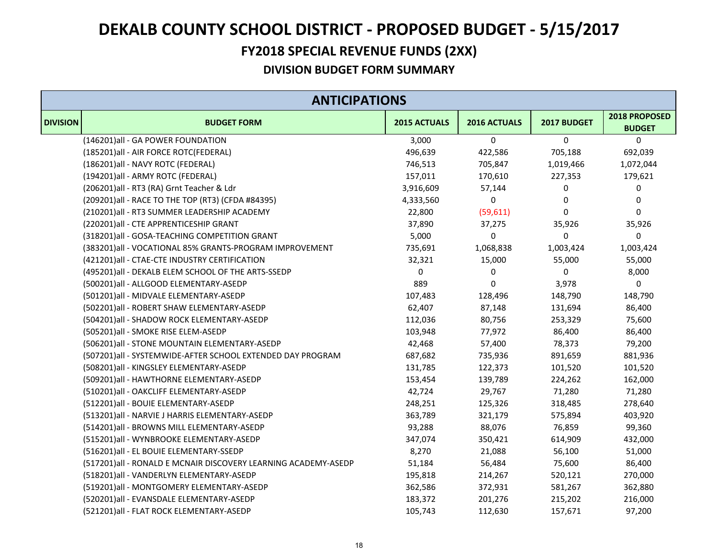### **FY2018 SPECIAL REVENUE FUNDS (2XX)**

|                 | <b>ANTICIPATIONS</b>                                           |              |              |             |                                |  |
|-----------------|----------------------------------------------------------------|--------------|--------------|-------------|--------------------------------|--|
| <b>DIVISION</b> | <b>BUDGET FORM</b>                                             | 2015 ACTUALS | 2016 ACTUALS | 2017 BUDGET | 2018 PROPOSED<br><b>BUDGET</b> |  |
|                 | (146201)all - GA POWER FOUNDATION                              | 3,000        | 0            | $\mathbf 0$ | $\mathbf 0$                    |  |
|                 | (185201)all - AIR FORCE ROTC(FEDERAL)                          | 496,639      | 422,586      | 705,188     | 692,039                        |  |
|                 | (186201)all - NAVY ROTC (FEDERAL)                              | 746,513      | 705,847      | 1,019,466   | 1,072,044                      |  |
|                 | (194201)all - ARMY ROTC (FEDERAL)                              | 157,011      | 170,610      | 227,353     | 179,621                        |  |
|                 | (206201)all - RT3 (RA) Grnt Teacher & Ldr                      | 3,916,609    | 57,144       | 0           | 0                              |  |
|                 | (209201) all - RACE TO THE TOP (RT3) (CFDA #84395)             | 4,333,560    | 0            | $\mathbf 0$ | 0                              |  |
|                 | (210201)all - RT3 SUMMER LEADERSHIP ACADEMY                    | 22,800       | (59, 611)    | $\mathbf 0$ | 0                              |  |
|                 | (220201)all - CTE APPRENTICESHIP GRANT                         | 37,890       | 37,275       | 35,926      | 35,926                         |  |
|                 | (318201)all - GOSA-TEACHING COMPETITION GRANT                  | 5,000        | 0            | $\mathbf 0$ | $\mathbf 0$                    |  |
|                 | (383201)all - VOCATIONAL 85% GRANTS-PROGRAM IMPROVEMENT        | 735,691      | 1,068,838    | 1,003,424   | 1,003,424                      |  |
|                 | (421201)all - CTAE-CTE INDUSTRY CERTIFICATION                  | 32,321       | 15,000       | 55,000      | 55,000                         |  |
|                 | (495201)all - DEKALB ELEM SCHOOL OF THE ARTS-SSEDP             | 0            | 0            | 0           | 8,000                          |  |
|                 | (500201)all - ALLGOOD ELEMENTARY-ASEDP                         | 889          | 0            | 3,978       | $\pmb{0}$                      |  |
|                 | (501201)all - MIDVALE ELEMENTARY-ASEDP                         | 107,483      | 128,496      | 148,790     | 148,790                        |  |
|                 | (502201)all - ROBERT SHAW ELEMENTARY-ASEDP                     | 62,407       | 87,148       | 131,694     | 86,400                         |  |
|                 | (504201)all - SHADOW ROCK ELEMENTARY-ASEDP                     | 112,036      | 80,756       | 253,329     | 75,600                         |  |
|                 | (505201)all - SMOKE RISE ELEM-ASEDP                            | 103,948      | 77,972       | 86,400      | 86,400                         |  |
|                 | (506201)all - STONE MOUNTAIN ELEMENTARY-ASEDP                  | 42,468       | 57,400       | 78,373      | 79,200                         |  |
|                 | (507201)all - SYSTEMWIDE-AFTER SCHOOL EXTENDED DAY PROGRAM     | 687,682      | 735,936      | 891,659     | 881,936                        |  |
|                 | (508201)all - KINGSLEY ELEMENTARY-ASEDP                        | 131,785      | 122,373      | 101,520     | 101,520                        |  |
|                 | (509201)all - HAWTHORNE ELEMENTARY-ASEDP                       | 153,454      | 139,789      | 224,262     | 162,000                        |  |
|                 | (510201)all - OAKCLIFF ELEMENTARY-ASEDP                        | 42,724       | 29,767       | 71,280      | 71,280                         |  |
|                 | (512201)all - BOUIE ELEMENTARY-ASEDP                           | 248,251      | 125,326      | 318,485     | 278,640                        |  |
|                 | (513201)all - NARVIE J HARRIS ELEMENTARY-ASEDP                 | 363,789      | 321,179      | 575,894     | 403,920                        |  |
|                 | (514201)all - BROWNS MILL ELEMENTARY-ASEDP                     | 93,288       | 88,076       | 76,859      | 99,360                         |  |
|                 | (515201)all - WYNBROOKE ELEMENTARY-ASEDP                       | 347,074      | 350,421      | 614,909     | 432,000                        |  |
|                 | (516201)all - EL BOUIE ELEMENTARY-SSEDP                        | 8,270        | 21,088       | 56,100      | 51,000                         |  |
|                 | (517201)all - RONALD E MCNAIR DISCOVERY LEARNING ACADEMY-ASEDP | 51,184       | 56,484       | 75,600      | 86,400                         |  |
|                 | (518201)all - VANDERLYN ELEMENTARY-ASEDP                       | 195,818      | 214,267      | 520,121     | 270,000                        |  |
|                 | (519201)all - MONTGOMERY ELEMENTARY-ASEDP                      | 362,586      | 372,931      | 581,267     | 362,880                        |  |
|                 | (520201)all - EVANSDALE ELEMENTARY-ASEDP                       | 183,372      | 201,276      | 215,202     | 216,000                        |  |
|                 | (521201)all - FLAT ROCK ELEMENTARY-ASEDP                       | 105,743      | 112,630      | 157,671     | 97,200                         |  |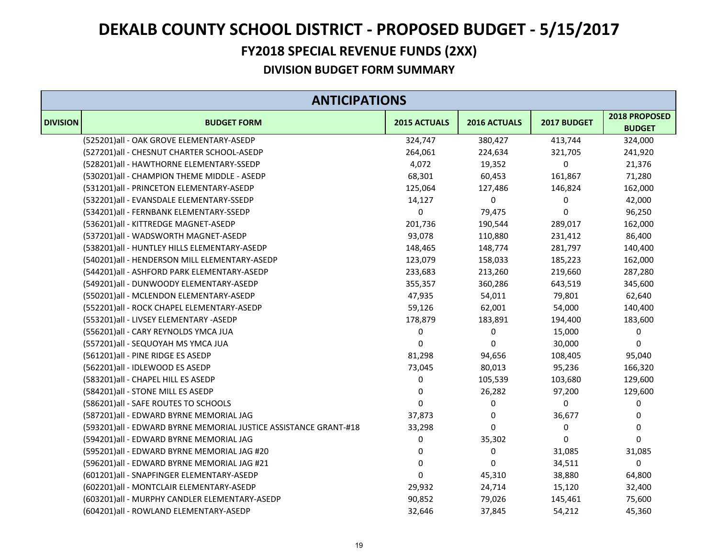### **FY2018 SPECIAL REVENUE FUNDS (2XX)**

|                 | <b>ANTICIPATIONS</b>                                             |              |              |             |                                |  |
|-----------------|------------------------------------------------------------------|--------------|--------------|-------------|--------------------------------|--|
| <b>DIVISION</b> | <b>BUDGET FORM</b>                                               | 2015 ACTUALS | 2016 ACTUALS | 2017 BUDGET | 2018 PROPOSED<br><b>BUDGET</b> |  |
|                 | (525201)all - OAK GROVE ELEMENTARY-ASEDP                         | 324,747      | 380,427      | 413,744     | 324,000                        |  |
|                 | (527201)all - CHESNUT CHARTER SCHOOL-ASEDP                       | 264,061      | 224,634      | 321,705     | 241,920                        |  |
|                 | (528201)all - HAWTHORNE ELEMENTARY-SSEDP                         | 4,072        | 19,352       | 0           | 21,376                         |  |
|                 | (530201)all - CHAMPION THEME MIDDLE - ASEDP                      | 68,301       | 60,453       | 161,867     | 71,280                         |  |
|                 | (531201)all - PRINCETON ELEMENTARY-ASEDP                         | 125,064      | 127,486      | 146,824     | 162,000                        |  |
|                 | (532201)all - EVANSDALE ELEMENTARY-SSEDP                         | 14,127       | 0            | 0           | 42,000                         |  |
|                 | (534201)all - FERNBANK ELEMENTARY-SSEDP                          | 0            | 79,475       | 0           | 96,250                         |  |
|                 | (536201)all - KITTREDGE MAGNET-ASEDP                             | 201,736      | 190,544      | 289,017     | 162,000                        |  |
|                 | (537201)all - WADSWORTH MAGNET-ASEDP                             | 93,078       | 110,880      | 231,412     | 86,400                         |  |
|                 | (538201)all - HUNTLEY HILLS ELEMENTARY-ASEDP                     | 148,465      | 148,774      | 281,797     | 140,400                        |  |
|                 | (540201)all - HENDERSON MILL ELEMENTARY-ASEDP                    | 123,079      | 158,033      | 185,223     | 162,000                        |  |
|                 | (544201)all - ASHFORD PARK ELEMENTARY-ASEDP                      | 233,683      | 213,260      | 219,660     | 287,280                        |  |
|                 | (549201)all - DUNWOODY ELEMENTARY-ASEDP                          | 355,357      | 360,286      | 643,519     | 345,600                        |  |
|                 | (550201)all - MCLENDON ELEMENTARY-ASEDP                          | 47,935       | 54,011       | 79,801      | 62,640                         |  |
|                 | (552201)all - ROCK CHAPEL ELEMENTARY-ASEDP                       | 59,126       | 62,001       | 54,000      | 140,400                        |  |
|                 | (553201)all - LIVSEY ELEMENTARY -ASEDP                           | 178,879      | 183,891      | 194,400     | 183,600                        |  |
|                 | (556201)all - CARY REYNOLDS YMCA JUA                             | 0            | 0            | 15,000      | $\pmb{0}$                      |  |
|                 | (557201)all - SEQUOYAH MS YMCA JUA                               | $\Omega$     | 0            | 30,000      | 0                              |  |
|                 | (561201) all - PINE RIDGE ES ASEDP                               | 81,298       | 94,656       | 108,405     | 95,040                         |  |
|                 | (562201)all - IDLEWOOD ES ASEDP                                  | 73,045       | 80,013       | 95,236      | 166,320                        |  |
|                 | (583201) all - CHAPEL HILL ES ASEDP                              | 0            | 105,539      | 103,680     | 129,600                        |  |
|                 | (584201)all - STONE MILL ES ASEDP                                | 0            | 26,282       | 97,200      | 129,600                        |  |
|                 | (586201) all - SAFE ROUTES TO SCHOOLS                            | 0            | 0            | 0           | 0                              |  |
|                 | (587201)all - EDWARD BYRNE MEMORIAL JAG                          | 37,873       | 0            | 36,677      | 0                              |  |
|                 | (593201)all - EDWARD BYRNE MEMORIAL JUSTICE ASSISTANCE GRANT-#18 | 33,298       | 0            | 0           | 0                              |  |
|                 | (594201)all - EDWARD BYRNE MEMORIAL JAG                          | 0            | 35,302       | 0           | 0                              |  |
|                 | (595201)all - EDWARD BYRNE MEMORIAL JAG #20                      | 0            | 0            | 31,085      | 31,085                         |  |
|                 | (596201)all - EDWARD BYRNE MEMORIAL JAG #21                      | $\mathbf 0$  | 0            | 34,511      | 0                              |  |
|                 | (601201)all - SNAPFINGER ELEMENTARY-ASEDP                        | $\mathbf 0$  | 45,310       | 38,880      | 64,800                         |  |
|                 | (602201)all - MONTCLAIR ELEMENTARY-ASEDP                         | 29,932       | 24,714       | 15,120      | 32,400                         |  |
|                 | (603201)all - MURPHY CANDLER ELEMENTARY-ASEDP                    | 90,852       | 79,026       | 145,461     | 75,600                         |  |
|                 | (604201)all - ROWLAND ELEMENTARY-ASEDP                           | 32,646       | 37,845       | 54,212      | 45,360                         |  |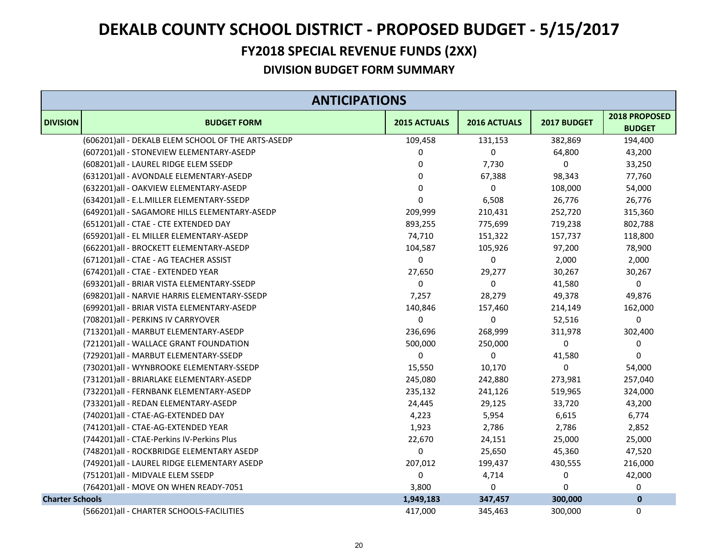### **FY2018 SPECIAL REVENUE FUNDS (2XX)**

|                        | <b>ANTICIPATIONS</b>                               |              |              |             |                                |
|------------------------|----------------------------------------------------|--------------|--------------|-------------|--------------------------------|
| <b>DIVISION</b>        | <b>BUDGET FORM</b>                                 | 2015 ACTUALS | 2016 ACTUALS | 2017 BUDGET | 2018 PROPOSED<br><b>BUDGET</b> |
|                        | (606201)all - DEKALB ELEM SCHOOL OF THE ARTS-ASEDP | 109,458      | 131,153      | 382,869     | 194,400                        |
|                        | (607201)all - STONEVIEW ELEMENTARY-ASEDP           | 0            | 0            | 64,800      | 43,200                         |
|                        | (608201)all - LAUREL RIDGE ELEM SSEDP              | 0            | 7,730        | 0           | 33,250                         |
|                        | (631201)all - AVONDALE ELEMENTARY-ASEDP            | 0            | 67,388       | 98,343      | 77,760                         |
|                        | (632201)all - OAKVIEW ELEMENTARY-ASEDP             | 0            | 0            | 108,000     | 54,000                         |
|                        | (634201)all - E.L.MILLER ELEMENTARY-SSEDP          | 0            | 6,508        | 26,776      | 26,776                         |
|                        | (649201)all - SAGAMORE HILLS ELEMENTARY-ASEDP      | 209,999      | 210,431      | 252,720     | 315,360                        |
|                        | (651201)all - CTAE - CTE EXTENDED DAY              | 893,255      | 775,699      | 719,238     | 802,788                        |
|                        | (659201)all - EL MILLER ELEMENTARY-ASEDP           | 74,710       | 151,322      | 157,737     | 118,800                        |
|                        | (662201)all - BROCKETT ELEMENTARY-ASEDP            | 104,587      | 105,926      | 97,200      | 78,900                         |
|                        | (671201)all - CTAE - AG TEACHER ASSIST             | 0            | 0            | 2,000       | 2,000                          |
|                        | (674201)all - CTAE - EXTENDED YEAR                 | 27,650       | 29,277       | 30,267      | 30,267                         |
|                        | (693201)all - BRIAR VISTA ELEMENTARY-SSEDP         | 0            | 0            | 41,580      | 0                              |
|                        | (698201) all - NARVIE HARRIS ELEMENTARY-SSEDP      | 7,257        | 28,279       | 49,378      | 49,876                         |
|                        | (699201)all - BRIAR VISTA ELEMENTARY-ASEDP         | 140,846      | 157,460      | 214,149     | 162,000                        |
|                        | (708201)all - PERKINS IV CARRYOVER                 | 0            | 0            | 52,516      | 0                              |
|                        | (713201)all - MARBUT ELEMENTARY-ASEDP              | 236,696      | 268,999      | 311,978     | 302,400                        |
|                        | (721201)all - WALLACE GRANT FOUNDATION             | 500,000      | 250,000      | 0           | 0                              |
|                        | (729201)all - MARBUT ELEMENTARY-SSEDP              | 0            | 0            | 41,580      | 0                              |
|                        | (730201)all - WYNBROOKE ELEMENTARY-SSEDP           | 15,550       | 10,170       | 0           | 54,000                         |
|                        | (731201)all - BRIARLAKE ELEMENTARY-ASEDP           | 245,080      | 242,880      | 273,981     | 257,040                        |
|                        | (732201)all - FERNBANK ELEMENTARY-ASEDP            | 235,132      | 241,126      | 519,965     | 324,000                        |
|                        | (733201)all - REDAN ELEMENTARY-ASEDP               | 24,445       | 29,125       | 33,720      | 43,200                         |
|                        | (740201)all - CTAE-AG-EXTENDED DAY                 | 4,223        | 5,954        | 6,615       | 6,774                          |
|                        | (741201)all - CTAE-AG-EXTENDED YEAR                | 1,923        | 2,786        | 2,786       | 2,852                          |
|                        | (744201)all - CTAE-Perkins IV-Perkins Plus         | 22,670       | 24,151       | 25,000      | 25,000                         |
|                        | (748201)all - ROCKBRIDGE ELEMENTARY ASEDP          | 0            | 25,650       | 45,360      | 47,520                         |
|                        | (749201) all - LAUREL RIDGE ELEMENTARY ASEDP       | 207,012      | 199,437      | 430,555     | 216,000                        |
|                        | (751201)all - MIDVALE ELEM SSEDP                   | 0            | 4,714        | 0           | 42,000                         |
|                        | (764201)all - MOVE ON WHEN READY-7051              | 3,800        | 0            | 0           | 0                              |
| <b>Charter Schools</b> |                                                    | 1,949,183    | 347,457      | 300,000     | $\pmb{0}$                      |
|                        | (566201) all - CHARTER SCHOOLS-FACILITIES          | 417,000      | 345,463      | 300,000     | 0                              |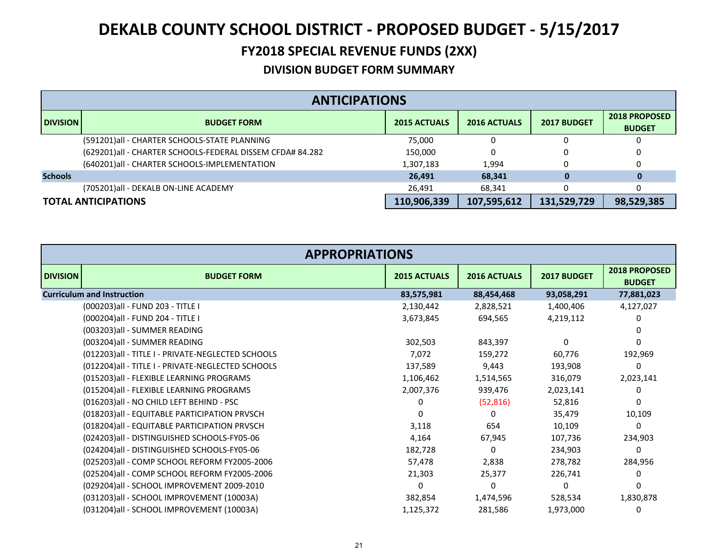### **FY2018 SPECIAL REVENUE FUNDS (2XX)**

|                 | <b>ANTICIPATIONS</b>                                      |                     |                     |             |                                       |  |
|-----------------|-----------------------------------------------------------|---------------------|---------------------|-------------|---------------------------------------|--|
| <b>DIVISION</b> | <b>BUDGET FORM</b>                                        | <b>2015 ACTUALS</b> | <b>2016 ACTUALS</b> | 2017 BUDGET | <b>2018 PROPOSED</b><br><b>BUDGET</b> |  |
|                 | (591201)all - CHARTER SCHOOLS-STATE PLANNING              | 75.000              |                     |             |                                       |  |
|                 | (629201)all - CHARTER SCHOOLS-FEDERAL DISSEM CFDA# 84.282 | 150,000             |                     |             |                                       |  |
|                 | (640201) all - CHARTER SCHOOLS-IMPLEMENTATION             | 1,307,183           | 1.994               |             |                                       |  |
| <b>Schools</b>  |                                                           | 26,491              | 68,341              | 0           | 0                                     |  |
|                 | (705201)all - DEKALB ON-LINE ACADEMY                      | 26,491              | 68,341              |             |                                       |  |
|                 | <b>TOTAL ANTICIPATIONS</b>                                | 110,906,339         | 107,595,612         | 131,529,729 | 98,529,385                            |  |

| <b>APPROPRIATIONS</b>                             |                     |                     |             |                                |
|---------------------------------------------------|---------------------|---------------------|-------------|--------------------------------|
| <b>DIVISION</b><br><b>BUDGET FORM</b>             | <b>2015 ACTUALS</b> | <b>2016 ACTUALS</b> | 2017 BUDGET | 2018 PROPOSED<br><b>BUDGET</b> |
| <b>Curriculum and Instruction</b>                 | 83,575,981          | 88,454,468          | 93,058,291  | 77,881,023                     |
| (000203) all - FUND 203 - TITLE I                 | 2,130,442           | 2,828,521           | 1,400,406   | 4,127,027                      |
| (000204) all - FUND 204 - TITLE I                 | 3,673,845           | 694,565             | 4,219,112   | 0                              |
| (003203)all - SUMMER READING                      |                     |                     |             |                                |
| (003204)all - SUMMER READING                      | 302,503             | 843,397             | $\Omega$    | 0                              |
| (012203)all - TITLE I - PRIVATE-NEGLECTED SCHOOLS | 7,072               | 159,272             | 60,776      | 192,969                        |
| (012204)all - TITLE I - PRIVATE-NEGLECTED SCHOOLS | 137,589             | 9,443               | 193,908     | 0                              |
| (015203)all - FLEXIBLE LEARNING PROGRAMS          | 1,106,462           | 1,514,565           | 316,079     | 2,023,141                      |
| (015204)all - FLEXIBLE LEARNING PROGRAMS          | 2,007,376           | 939,476             | 2,023,141   | 0                              |
| (016203)all - NO CHILD LEFT BEHIND - PSC          | 0                   | (52, 816)           | 52,816      | 0                              |
| (018203) all - EQUITABLE PARTICIPATION PRVSCH     | <sup>0</sup>        | 0                   | 35,479      | 10,109                         |
| (018204) all - EQUITABLE PARTICIPATION PRVSCH     | 3,118               | 654                 | 10,109      | 0                              |
| (024203)all - DISTINGUISHED SCHOOLS-FY05-06       | 4,164               | 67,945              | 107,736     | 234,903                        |
| (024204)all - DISTINGUISHED SCHOOLS-FY05-06       | 182,728             | 0                   | 234,903     | 0                              |
| (025203)all - COMP SCHOOL REFORM FY2005-2006      | 57,478              | 2,838               | 278,782     | 284,956                        |
| (025204)all - COMP SCHOOL REFORM FY2005-2006      | 21,303              | 25,377              | 226,741     | 0                              |
| (029204)all - SCHOOL IMPROVEMENT 2009-2010        | $\Omega$            | 0                   | $\Omega$    | 0                              |
| (031203)all - SCHOOL IMPROVEMENT (10003A)         | 382,854             | 1,474,596           | 528,534     | 1,830,878                      |
| (031204) all - SCHOOL IMPROVEMENT (10003A)        | 1,125,372           | 281,586             | 1,973,000   | 0                              |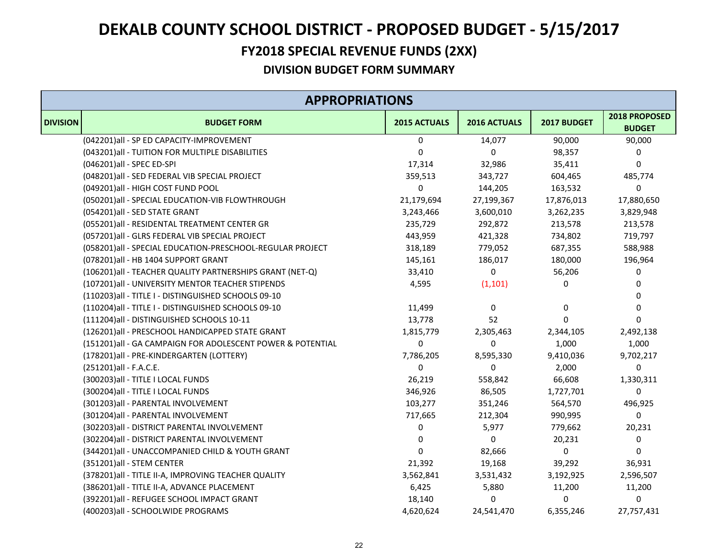### **FY2018 SPECIAL REVENUE FUNDS (2XX)**

|                 | <b>APPROPRIATIONS</b>                                      |              |              |             |                                |  |
|-----------------|------------------------------------------------------------|--------------|--------------|-------------|--------------------------------|--|
| <b>DIVISION</b> | <b>BUDGET FORM</b>                                         | 2015 ACTUALS | 2016 ACTUALS | 2017 BUDGET | 2018 PROPOSED<br><b>BUDGET</b> |  |
|                 | (042201)all - SP ED CAPACITY-IMPROVEMENT                   | 0            | 14,077       | 90,000      | 90,000                         |  |
|                 | (043201) all - TUITION FOR MULTIPLE DISABILITIES           | 0            | 0            | 98,357      | 0                              |  |
|                 | (046201)all - SPEC ED-SPI                                  | 17,314       | 32,986       | 35,411      | 0                              |  |
|                 | (048201)all - SED FEDERAL VIB SPECIAL PROJECT              | 359,513      | 343,727      | 604,465     | 485,774                        |  |
|                 | (049201)all - HIGH COST FUND POOL                          | 0            | 144,205      | 163,532     | 0                              |  |
|                 | (050201)all - SPECIAL EDUCATION-VIB FLOWTHROUGH            | 21,179,694   | 27,199,367   | 17,876,013  | 17,880,650                     |  |
|                 | (054201)all - SED STATE GRANT                              | 3,243,466    | 3,600,010    | 3,262,235   | 3,829,948                      |  |
|                 | (055201)all - RESIDENTAL TREATMENT CENTER GR               | 235,729      | 292,872      | 213,578     | 213,578                        |  |
|                 | (057201)all - GLRS FEDERAL VIB SPECIAL PROJECT             | 443,959      | 421,328      | 734,802     | 719,797                        |  |
|                 | (058201)all - SPECIAL EDUCATION-PRESCHOOL-REGULAR PROJECT  | 318,189      | 779,052      | 687,355     | 588,988                        |  |
|                 | (078201)all - HB 1404 SUPPORT GRANT                        | 145,161      | 186,017      | 180,000     | 196,964                        |  |
|                 | (106201) all - TEACHER QUALITY PARTNERSHIPS GRANT (NET-Q)  | 33,410       | 0            | 56,206      | 0                              |  |
|                 | (107201)all - UNIVERSITY MENTOR TEACHER STIPENDS           | 4,595        | (1, 101)     | 0           | 0                              |  |
|                 | (110203)all - TITLE I - DISTINGUISHED SCHOOLS 09-10        |              |              |             | 0                              |  |
|                 | (110204)all - TITLE I - DISTINGUISHED SCHOOLS 09-10        | 11,499       | 0            | 0           | 0                              |  |
|                 | (111204)all - DISTINGUISHED SCHOOLS 10-11                  | 13,778       | 52           | $\Omega$    | $\mathbf{0}$                   |  |
|                 | (126201)all - PRESCHOOL HANDICAPPED STATE GRANT            | 1,815,779    | 2,305,463    | 2,344,105   | 2,492,138                      |  |
|                 | (151201)all - GA CAMPAIGN FOR ADOLESCENT POWER & POTENTIAL | 0            | $\Omega$     | 1,000       | 1,000                          |  |
|                 | (178201)all - PRE-KINDERGARTEN (LOTTERY)                   | 7,786,205    | 8,595,330    | 9,410,036   | 9,702,217                      |  |
|                 | (251201)all - F.A.C.E.                                     | $\Omega$     | $\Omega$     | 2,000       | 0                              |  |
|                 | (300203) all - TITLE I LOCAL FUNDS                         | 26,219       | 558,842      | 66,608      | 1,330,311                      |  |
|                 | (300204) all - TITLE I LOCAL FUNDS                         | 346,926      | 86,505       | 1,727,701   | 0                              |  |
|                 | (301203)all - PARENTAL INVOLVEMENT                         | 103,277      | 351,246      | 564,570     | 496,925                        |  |
|                 | (301204)all - PARENTAL INVOLVEMENT                         | 717,665      | 212,304      | 990,995     | 0                              |  |
|                 | (302203) all - DISTRICT PARENTAL INVOLVEMENT               | 0            | 5,977        | 779,662     | 20,231                         |  |
|                 | (302204) all - DISTRICT PARENTAL INVOLVEMENT               | 0            | 0            | 20,231      | 0                              |  |
|                 | (344201)all - UNACCOMPANIED CHILD & YOUTH GRANT            | 0            | 82,666       | 0           | 0                              |  |
|                 | (351201)all - STEM CENTER                                  | 21,392       | 19,168       | 39,292      | 36,931                         |  |
|                 | (378201) all - TITLE II-A, IMPROVING TEACHER QUALITY       | 3,562,841    | 3,531,432    | 3,192,925   | 2,596,507                      |  |
|                 | (386201) all - TITLE II-A, ADVANCE PLACEMENT               | 6,425        | 5,880        | 11,200      | 11,200                         |  |
|                 | (392201)all - REFUGEE SCHOOL IMPACT GRANT                  | 18,140       | 0            | 0           | 0                              |  |
|                 | (400203)all - SCHOOLWIDE PROGRAMS                          | 4,620,624    | 24,541,470   | 6,355,246   | 27,757,431                     |  |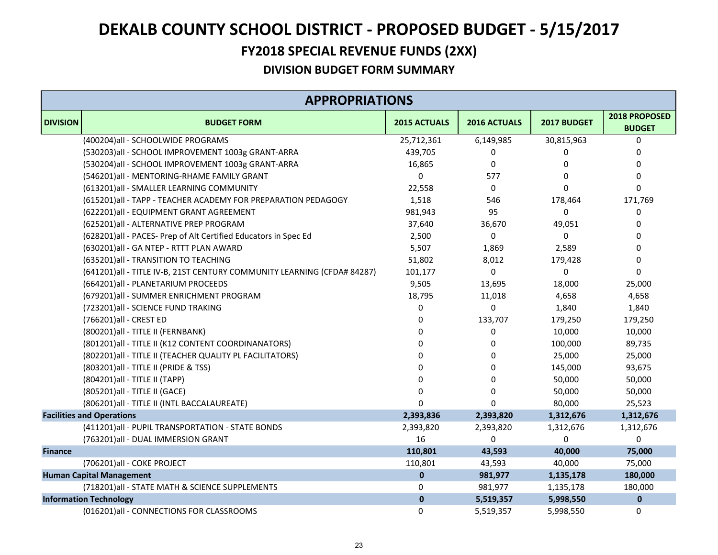### **FY2018 SPECIAL REVENUE FUNDS (2XX)**

|                 | <b>APPROPRIATIONS</b>                                                   |              |              |             |                                |  |  |
|-----------------|-------------------------------------------------------------------------|--------------|--------------|-------------|--------------------------------|--|--|
| <b>DIVISION</b> | <b>BUDGET FORM</b>                                                      | 2015 ACTUALS | 2016 ACTUALS | 2017 BUDGET | 2018 PROPOSED<br><b>BUDGET</b> |  |  |
|                 | (400204)all - SCHOOLWIDE PROGRAMS                                       | 25,712,361   | 6,149,985    | 30,815,963  | 0                              |  |  |
|                 | (530203)all - SCHOOL IMPROVEMENT 1003g GRANT-ARRA                       | 439,705      | 0            | 0           | 0                              |  |  |
|                 | (530204)all - SCHOOL IMPROVEMENT 1003g GRANT-ARRA                       | 16,865       | 0            | 0           | 0                              |  |  |
|                 | (546201)all - MENTORING-RHAME FAMILY GRANT                              | $\Omega$     | 577          | $\Omega$    | $\mathbf 0$                    |  |  |
|                 | (613201)all - SMALLER LEARNING COMMUNITY                                | 22,558       | 0            | $\Omega$    | $\mathbf 0$                    |  |  |
|                 | (615201) all - TAPP - TEACHER ACADEMY FOR PREPARATION PEDAGOGY          | 1,518        | 546          | 178,464     | 171,769                        |  |  |
|                 | (622201)all - EQUIPMENT GRANT AGREEMENT                                 | 981,943      | 95           | $\Omega$    | 0                              |  |  |
|                 | (625201)all - ALTERNATIVE PREP PROGRAM                                  | 37,640       | 36,670       | 49,051      | 0                              |  |  |
|                 | (628201)all - PACES- Prep of Alt Certified Educators in Spec Ed         | 2,500        | 0            | 0           | $\mathbf 0$                    |  |  |
|                 | (630201)all - GA NTEP - RTTT PLAN AWARD                                 | 5,507        | 1,869        | 2,589       | 0                              |  |  |
|                 | (635201)all - TRANSITION TO TEACHING                                    | 51,802       | 8,012        | 179,428     | 0                              |  |  |
|                 | (641201)all - TITLE IV-B, 21ST CENTURY COMMUNITY LEARNING (CFDA# 84287) | 101,177      | 0            | $\mathbf 0$ | $\mathbf 0$                    |  |  |
|                 | (664201)all - PLANETARIUM PROCEEDS                                      | 9,505        | 13,695       | 18,000      | 25,000                         |  |  |
|                 | (679201)all - SUMMER ENRICHMENT PROGRAM                                 | 18,795       | 11,018       | 4,658       | 4,658                          |  |  |
|                 | (723201)all - SCIENCE FUND TRAKING                                      | 0            | 0            | 1,840       | 1,840                          |  |  |
|                 | (766201)all - CREST ED                                                  | 0            | 133,707      | 179,250     | 179,250                        |  |  |
|                 | (800201)all - TITLE II (FERNBANK)                                       | U            | 0            | 10,000      | 10,000                         |  |  |
|                 | (801201) all - TITLE II (K12 CONTENT COORDINANATORS)                    |              | 0            | 100,000     | 89,735                         |  |  |
|                 | (802201) all - TITLE II (TEACHER QUALITY PL FACILITATORS)               |              | 0            | 25,000      | 25,000                         |  |  |
|                 | (803201) all - TITLE II (PRIDE & TSS)                                   |              | 0            | 145,000     | 93,675                         |  |  |
|                 | (804201) all - TITLE II (TAPP)                                          | ŋ            | $\Omega$     | 50,000      | 50,000                         |  |  |
|                 | (805201) all - TITLE II (GACE)                                          | 0            | 0            | 50,000      | 50,000                         |  |  |
|                 | (806201) all - TITLE II (INTL BACCALAUREATE)                            |              | $\Omega$     | 80,000      | 25,523                         |  |  |
|                 | <b>Facilities and Operations</b>                                        | 2,393,836    | 2,393,820    | 1,312,676   | 1,312,676                      |  |  |
|                 | (411201)all - PUPIL TRANSPORTATION - STATE BONDS                        | 2,393,820    | 2,393,820    | 1,312,676   | 1,312,676                      |  |  |
|                 | (763201)all - DUAL IMMERSION GRANT                                      | 16           | 0            | $\Omega$    | $\Omega$                       |  |  |
| <b>Finance</b>  |                                                                         | 110,801      | 43,593       | 40,000      | 75,000                         |  |  |
|                 | (706201)all - COKE PROJECT                                              | 110,801      | 43,593       | 40,000      | 75,000                         |  |  |
|                 | <b>Human Capital Management</b>                                         | $\mathbf{0}$ | 981,977      | 1,135,178   | 180,000                        |  |  |
|                 | (718201) all - STATE MATH & SCIENCE SUPPLEMENTS                         | 0            | 981,977      | 1,135,178   | 180,000                        |  |  |
|                 | <b>Information Technology</b>                                           | $\bf{0}$     | 5,519,357    | 5,998,550   | $\pmb{0}$                      |  |  |
|                 | (016201)all - CONNECTIONS FOR CLASSROOMS                                | $\Omega$     | 5,519,357    | 5,998,550   | $\mathbf 0$                    |  |  |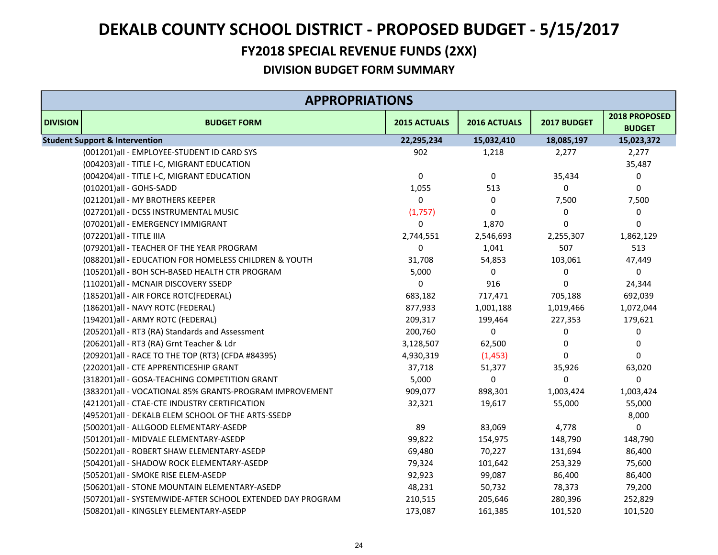### **FY2018 SPECIAL REVENUE FUNDS (2XX)**

|                 | <b>APPROPRIATIONS</b>                                      |              |              |             |                                |  |  |  |
|-----------------|------------------------------------------------------------|--------------|--------------|-------------|--------------------------------|--|--|--|
| <b>DIVISION</b> | <b>BUDGET FORM</b>                                         | 2015 ACTUALS | 2016 ACTUALS | 2017 BUDGET | 2018 PROPOSED<br><b>BUDGET</b> |  |  |  |
|                 | <b>Student Support &amp; Intervention</b>                  | 22,295,234   | 15,032,410   | 18,085,197  | 15,023,372                     |  |  |  |
|                 | (001201)all - EMPLOYEE-STUDENT ID CARD SYS                 | 902          | 1,218        | 2,277       | 2,277                          |  |  |  |
|                 | (004203) all - TITLE I-C, MIGRANT EDUCATION                |              |              |             | 35,487                         |  |  |  |
|                 | (004204) all - TITLE I-C, MIGRANT EDUCATION                | 0            | $\mathbf 0$  | 35,434      | 0                              |  |  |  |
|                 | (010201)all - GOHS-SADD                                    | 1,055        | 513          | $\Omega$    | 0                              |  |  |  |
|                 | (021201)all - MY BROTHERS KEEPER                           | 0            | 0            | 7,500       | 7,500                          |  |  |  |
|                 | (027201)all - DCSS INSTRUMENTAL MUSIC                      | (1,757)      | 0            | 0           | 0                              |  |  |  |
|                 | (070201)all - EMERGENCY IMMIGRANT                          | 0            | 1,870        | $\Omega$    | 0                              |  |  |  |
|                 | (072201) all - TITLE IIIA                                  | 2,744,551    | 2,546,693    | 2,255,307   | 1,862,129                      |  |  |  |
|                 | (079201) all - TEACHER OF THE YEAR PROGRAM                 | 0            | 1,041        | 507         | 513                            |  |  |  |
|                 | (088201)all - EDUCATION FOR HOMELESS CHILDREN & YOUTH      | 31,708       | 54,853       | 103,061     | 47,449                         |  |  |  |
|                 | (105201)all - BOH SCH-BASED HEALTH CTR PROGRAM             | 5,000        | 0            | 0           | 0                              |  |  |  |
|                 | (110201)all - MCNAIR DISCOVERY SSEDP                       | 0            | 916          | $\Omega$    | 24,344                         |  |  |  |
|                 | (185201) all - AIR FORCE ROTC(FEDERAL)                     | 683,182      | 717,471      | 705,188     | 692,039                        |  |  |  |
|                 | (186201) all - NAVY ROTC (FEDERAL)                         | 877,933      | 1,001,188    | 1,019,466   | 1,072,044                      |  |  |  |
|                 | (194201)all - ARMY ROTC (FEDERAL)                          | 209,317      | 199,464      | 227,353     | 179,621                        |  |  |  |
|                 | (205201)all - RT3 (RA) Standards and Assessment            | 200,760      | 0            | $\Omega$    | 0                              |  |  |  |
|                 | (206201)all - RT3 (RA) Grnt Teacher & Ldr                  | 3,128,507    | 62,500       | 0           | 0                              |  |  |  |
|                 | (209201) all - RACE TO THE TOP (RT3) (CFDA #84395)         | 4,930,319    | (1, 453)     | $\Omega$    | $\Omega$                       |  |  |  |
|                 | (220201)all - CTE APPRENTICESHIP GRANT                     | 37,718       | 51,377       | 35,926      | 63,020                         |  |  |  |
|                 | (318201)all - GOSA-TEACHING COMPETITION GRANT              | 5,000        | 0            | $\Omega$    | 0                              |  |  |  |
|                 | (383201)all - VOCATIONAL 85% GRANTS-PROGRAM IMPROVEMENT    | 909,077      | 898,301      | 1,003,424   | 1,003,424                      |  |  |  |
|                 | (421201)all - CTAE-CTE INDUSTRY CERTIFICATION              | 32,321       | 19,617       | 55,000      | 55,000                         |  |  |  |
|                 | (495201)all - DEKALB ELEM SCHOOL OF THE ARTS-SSEDP         |              |              |             | 8,000                          |  |  |  |
|                 | (500201)all - ALLGOOD ELEMENTARY-ASEDP                     | 89           | 83,069       | 4,778       | 0                              |  |  |  |
|                 | (501201)all - MIDVALE ELEMENTARY-ASEDP                     | 99,822       | 154,975      | 148,790     | 148,790                        |  |  |  |
|                 | (502201)all - ROBERT SHAW ELEMENTARY-ASEDP                 | 69,480       | 70,227       | 131,694     | 86,400                         |  |  |  |
|                 | (504201)all - SHADOW ROCK ELEMENTARY-ASEDP                 | 79,324       | 101,642      | 253,329     | 75,600                         |  |  |  |
|                 | (505201)all - SMOKE RISE ELEM-ASEDP                        | 92,923       | 99,087       | 86,400      | 86,400                         |  |  |  |
|                 | (506201)all - STONE MOUNTAIN ELEMENTARY-ASEDP              | 48,231       | 50,732       | 78,373      | 79,200                         |  |  |  |
|                 | (507201)all - SYSTEMWIDE-AFTER SCHOOL EXTENDED DAY PROGRAM | 210,515      | 205,646      | 280,396     | 252,829                        |  |  |  |
|                 | (508201)all - KINGSLEY ELEMENTARY-ASEDP                    | 173,087      | 161,385      | 101,520     | 101,520                        |  |  |  |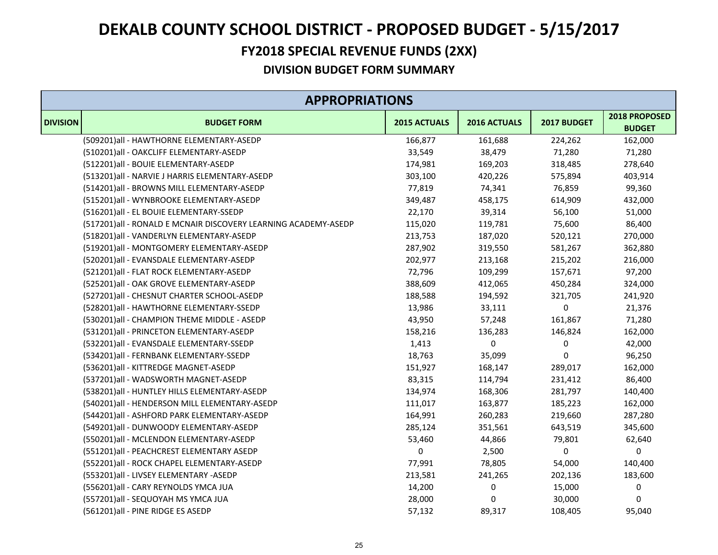### **FY2018 SPECIAL REVENUE FUNDS (2XX)**

|                 | <b>APPROPRIATIONS</b>                                          |              |              |             |                                |  |  |
|-----------------|----------------------------------------------------------------|--------------|--------------|-------------|--------------------------------|--|--|
| <b>DIVISION</b> | <b>BUDGET FORM</b>                                             | 2015 ACTUALS | 2016 ACTUALS | 2017 BUDGET | 2018 PROPOSED<br><b>BUDGET</b> |  |  |
|                 | (509201)all - HAWTHORNE ELEMENTARY-ASEDP                       | 166,877      | 161,688      | 224,262     | 162,000                        |  |  |
|                 | (510201)all - OAKCLIFF ELEMENTARY-ASEDP                        | 33,549       | 38,479       | 71,280      | 71,280                         |  |  |
|                 | (512201)all - BOUIE ELEMENTARY-ASEDP                           | 174,981      | 169,203      | 318,485     | 278,640                        |  |  |
|                 | (513201)all - NARVIE J HARRIS ELEMENTARY-ASEDP                 | 303,100      | 420,226      | 575,894     | 403,914                        |  |  |
|                 | (514201)all - BROWNS MILL ELEMENTARY-ASEDP                     | 77,819       | 74,341       | 76,859      | 99,360                         |  |  |
|                 | (515201)all - WYNBROOKE ELEMENTARY-ASEDP                       | 349,487      | 458,175      | 614,909     | 432,000                        |  |  |
|                 | (516201)all - EL BOUIE ELEMENTARY-SSEDP                        | 22,170       | 39,314       | 56,100      | 51,000                         |  |  |
|                 | (517201)all - RONALD E MCNAIR DISCOVERY LEARNING ACADEMY-ASEDP | 115,020      | 119,781      | 75,600      | 86,400                         |  |  |
|                 | (518201)all - VANDERLYN ELEMENTARY-ASEDP                       | 213,753      | 187,020      | 520,121     | 270,000                        |  |  |
|                 | (519201)all - MONTGOMERY ELEMENTARY-ASEDP                      | 287,902      | 319,550      | 581,267     | 362,880                        |  |  |
|                 | (520201)all - EVANSDALE ELEMENTARY-ASEDP                       | 202,977      | 213,168      | 215,202     | 216,000                        |  |  |
|                 | (521201)all - FLAT ROCK ELEMENTARY-ASEDP                       | 72,796       | 109,299      | 157,671     | 97,200                         |  |  |
|                 | (525201)all - OAK GROVE ELEMENTARY-ASEDP                       | 388,609      | 412,065      | 450,284     | 324,000                        |  |  |
|                 | (527201)all - CHESNUT CHARTER SCHOOL-ASEDP                     | 188,588      | 194,592      | 321,705     | 241,920                        |  |  |
|                 | (528201)all - HAWTHORNE ELEMENTARY-SSEDP                       | 13,986       | 33,111       | 0           | 21,376                         |  |  |
|                 | (530201)all - CHAMPION THEME MIDDLE - ASEDP                    | 43,950       | 57,248       | 161,867     | 71,280                         |  |  |
|                 | (531201)all - PRINCETON ELEMENTARY-ASEDP                       | 158,216      | 136,283      | 146,824     | 162,000                        |  |  |
|                 | (532201)all - EVANSDALE ELEMENTARY-SSEDP                       | 1,413        | 0            | 0           | 42,000                         |  |  |
|                 | (534201)all - FERNBANK ELEMENTARY-SSEDP                        | 18,763       | 35,099       | 0           | 96,250                         |  |  |
|                 | (536201)all - KITTREDGE MAGNET-ASEDP                           | 151,927      | 168,147      | 289,017     | 162,000                        |  |  |
|                 | (537201)all - WADSWORTH MAGNET-ASEDP                           | 83,315       | 114,794      | 231,412     | 86,400                         |  |  |
|                 | (538201)all - HUNTLEY HILLS ELEMENTARY-ASEDP                   | 134,974      | 168,306      | 281,797     | 140,400                        |  |  |
|                 | (540201)all - HENDERSON MILL ELEMENTARY-ASEDP                  | 111,017      | 163,877      | 185,223     | 162,000                        |  |  |
|                 | (544201)all - ASHFORD PARK ELEMENTARY-ASEDP                    | 164,991      | 260,283      | 219,660     | 287,280                        |  |  |
|                 | (549201)all - DUNWOODY ELEMENTARY-ASEDP                        | 285,124      | 351,561      | 643,519     | 345,600                        |  |  |
|                 | (550201)all - MCLENDON ELEMENTARY-ASEDP                        | 53,460       | 44,866       | 79,801      | 62,640                         |  |  |
|                 | (551201)all - PEACHCREST ELEMENTARY ASEDP                      | 0            | 2,500        | 0           | 0                              |  |  |
|                 | (552201)all - ROCK CHAPEL ELEMENTARY-ASEDP                     | 77,991       | 78,805       | 54,000      | 140,400                        |  |  |
|                 | (553201)all - LIVSEY ELEMENTARY -ASEDP                         | 213,581      | 241,265      | 202,136     | 183,600                        |  |  |
|                 | (556201) all - CARY REYNOLDS YMCA JUA                          | 14,200       | 0            | 15,000      | $\pmb{0}$                      |  |  |
|                 | (557201)all - SEQUOYAH MS YMCA JUA                             | 28,000       | 0            | 30,000      | 0                              |  |  |
|                 | (561201) all - PINE RIDGE ES ASEDP                             | 57,132       | 89,317       | 108,405     | 95,040                         |  |  |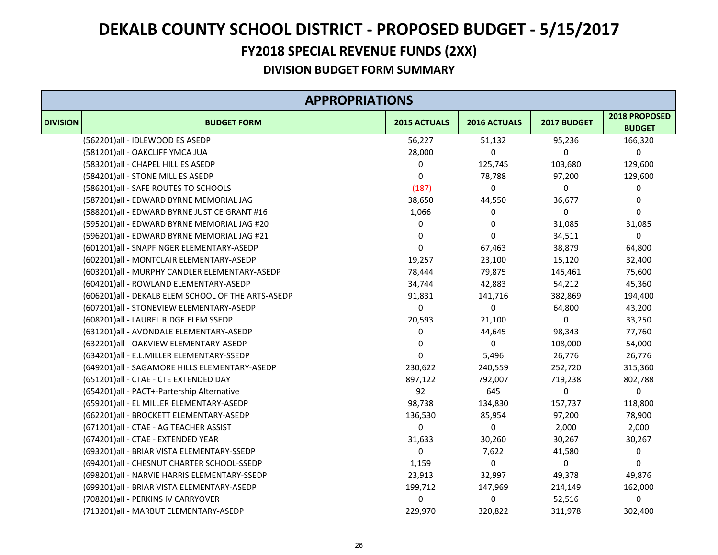### **FY2018 SPECIAL REVENUE FUNDS (2XX)**

|                 | <b>APPROPRIATIONS</b>                              |              |              |             |                                |
|-----------------|----------------------------------------------------|--------------|--------------|-------------|--------------------------------|
| <b>DIVISION</b> | <b>BUDGET FORM</b>                                 | 2015 ACTUALS | 2016 ACTUALS | 2017 BUDGET | 2018 PROPOSED<br><b>BUDGET</b> |
|                 | (562201)all - IDLEWOOD ES ASEDP                    | 56,227       | 51,132       | 95,236      | 166,320                        |
|                 | (581201)all - OAKCLIFF YMCA JUA                    | 28,000       | 0            | $\Omega$    | $\pmb{0}$                      |
|                 | (583201) all - CHAPEL HILL ES ASEDP                | 0            | 125,745      | 103,680     | 129,600                        |
|                 | (584201)all - STONE MILL ES ASEDP                  | 0            | 78,788       | 97,200      | 129,600                        |
|                 | (586201) all - SAFE ROUTES TO SCHOOLS              | (187)        | 0            | 0           | 0                              |
|                 | (587201)all - EDWARD BYRNE MEMORIAL JAG            | 38,650       | 44,550       | 36,677      | 0                              |
|                 | (588201)all - EDWARD BYRNE JUSTICE GRANT #16       | 1,066        | 0            | 0           | $\mathbf 0$                    |
|                 | (595201)all - EDWARD BYRNE MEMORIAL JAG #20        | 0            | 0            | 31,085      | 31,085                         |
|                 | (596201)all - EDWARD BYRNE MEMORIAL JAG #21        | 0            | $\Omega$     | 34,511      | $\pmb{0}$                      |
|                 | (601201)all - SNAPFINGER ELEMENTARY-ASEDP          | $\pmb{0}$    | 67,463       | 38,879      | 64,800                         |
|                 | (602201)all - MONTCLAIR ELEMENTARY-ASEDP           | 19,257       | 23,100       | 15,120      | 32,400                         |
|                 | (603201)all - MURPHY CANDLER ELEMENTARY-ASEDP      | 78,444       | 79,875       | 145,461     | 75,600                         |
|                 | (604201)all - ROWLAND ELEMENTARY-ASEDP             | 34,744       | 42,883       | 54,212      | 45,360                         |
|                 | (606201)all - DEKALB ELEM SCHOOL OF THE ARTS-ASEDP | 91,831       | 141,716      | 382,869     | 194,400                        |
|                 | (607201)all - STONEVIEW ELEMENTARY-ASEDP           | 0            | 0            | 64,800      | 43,200                         |
|                 | (608201)all - LAUREL RIDGE ELEM SSEDP              | 20,593       | 21,100       | $\Omega$    | 33,250                         |
|                 | (631201)all - AVONDALE ELEMENTARY-ASEDP            | 0            | 44,645       | 98,343      | 77,760                         |
|                 | (632201)all - OAKVIEW ELEMENTARY-ASEDP             | 0            | 0            | 108,000     | 54,000                         |
|                 | (634201)all - E.L.MILLER ELEMENTARY-SSEDP          | $\mathbf 0$  | 5,496        | 26,776      | 26,776                         |
|                 | (649201)all - SAGAMORE HILLS ELEMENTARY-ASEDP      | 230,622      | 240,559      | 252,720     | 315,360                        |
|                 | (651201)all - CTAE - CTE EXTENDED DAY              | 897,122      | 792,007      | 719,238     | 802,788                        |
|                 | (654201)all - PACT+-Partership Alternative         | 92           | 645          | 0           | $\mathbf 0$                    |
|                 | (659201)all - EL MILLER ELEMENTARY-ASEDP           | 98,738       | 134,830      | 157,737     | 118,800                        |
|                 | (662201)all - BROCKETT ELEMENTARY-ASEDP            | 136,530      | 85,954       | 97,200      | 78,900                         |
|                 | (671201)all - CTAE - AG TEACHER ASSIST             | 0            | 0            | 2,000       | 2,000                          |
|                 | (674201)all - CTAE - EXTENDED YEAR                 | 31,633       | 30,260       | 30,267      | 30,267                         |
|                 | (693201)all - BRIAR VISTA ELEMENTARY-SSEDP         | 0            | 7,622        | 41,580      | 0                              |
|                 | (694201) all - CHESNUT CHARTER SCHOOL-SSEDP        | 1,159        | 0            | 0           | $\mathbf 0$                    |
|                 | (698201) all - NARVIE HARRIS ELEMENTARY-SSEDP      | 23,913       | 32,997       | 49,378      | 49,876                         |
|                 | (699201)all - BRIAR VISTA ELEMENTARY-ASEDP         | 199,712      | 147,969      | 214,149     | 162,000                        |
|                 | (708201) all - PERKINS IV CARRYOVER                | 0            | 0            | 52,516      | 0                              |
|                 | (713201)all - MARBUT ELEMENTARY-ASEDP              | 229,970      | 320,822      | 311,978     | 302,400                        |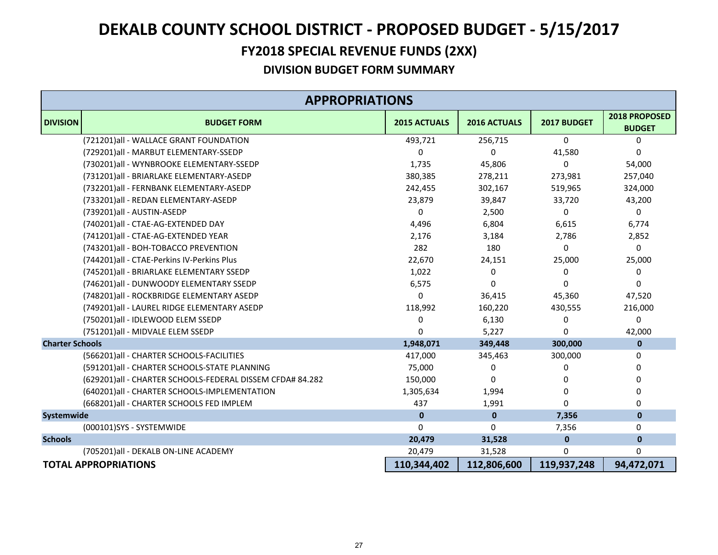### **FY2018 SPECIAL REVENUE FUNDS (2XX)**

|                        | <b>APPROPRIATIONS</b>                                     |                     |                     |              |                                |  |
|------------------------|-----------------------------------------------------------|---------------------|---------------------|--------------|--------------------------------|--|
| <b>DIVISION</b>        | <b>BUDGET FORM</b>                                        | <b>2015 ACTUALS</b> | <b>2016 ACTUALS</b> | 2017 BUDGET  | 2018 PROPOSED<br><b>BUDGET</b> |  |
|                        | (721201)all - WALLACE GRANT FOUNDATION                    | 493,721             | 256,715             | $\mathbf 0$  | 0                              |  |
|                        | (729201)all - MARBUT ELEMENTARY-SSEDP                     | 0                   | 0                   | 41.580       | 0                              |  |
|                        | (730201)all - WYNBROOKE ELEMENTARY-SSEDP                  | 1,735               | 45,806              | $\Omega$     | 54,000                         |  |
|                        | (731201)all - BRIARLAKE ELEMENTARY-ASEDP                  | 380,385             | 278,211             | 273,981      | 257,040                        |  |
|                        | (732201)all - FERNBANK ELEMENTARY-ASEDP                   | 242,455             | 302,167             | 519,965      | 324,000                        |  |
|                        | (733201)all - REDAN ELEMENTARY-ASEDP                      | 23,879              | 39,847              | 33,720       | 43,200                         |  |
|                        | (739201)all - AUSTIN-ASEDP                                | 0                   | 2,500               | 0            | 0                              |  |
|                        | (740201)all - CTAE-AG-EXTENDED DAY                        | 4,496               | 6,804               | 6,615        | 6,774                          |  |
|                        | (741201)all - CTAE-AG-EXTENDED YEAR                       | 2,176               | 3,184               | 2,786        | 2,852                          |  |
|                        | (743201)all - BOH-TOBACCO PREVENTION                      | 282                 | 180                 | 0            | 0                              |  |
|                        | (744201)all - CTAE-Perkins IV-Perkins Plus                | 22,670              | 24,151              | 25,000       | 25,000                         |  |
|                        | (745201) all - BRIARLAKE ELEMENTARY SSEDP                 | 1,022               | 0                   | 0            | 0                              |  |
|                        | (746201)all - DUNWOODY ELEMENTARY SSEDP                   | 6,575               | 0                   | $\Omega$     | $\Omega$                       |  |
|                        | (748201)all - ROCKBRIDGE ELEMENTARY ASEDP                 | $\Omega$            | 36,415              | 45,360       | 47,520                         |  |
|                        | (749201)all - LAUREL RIDGE ELEMENTARY ASEDP               | 118,992             | 160,220             | 430,555      | 216,000                        |  |
|                        | (750201)all - IDLEWOOD ELEM SSEDP                         | 0                   | 6,130               | 0            | 0                              |  |
|                        | (751201)all - MIDVALE ELEM SSEDP                          | $\Omega$            | 5,227               | O            | 42,000                         |  |
| <b>Charter Schools</b> |                                                           | 1,948,071           | 349,448             | 300,000      | $\pmb{0}$                      |  |
|                        | (566201) all - CHARTER SCHOOLS-FACILITIES                 | 417,000             | 345,463             | 300,000      | 0                              |  |
|                        | (591201)all - CHARTER SCHOOLS-STATE PLANNING              | 75,000              | 0                   | 0            | 0                              |  |
|                        | (629201)all - CHARTER SCHOOLS-FEDERAL DISSEM CFDA# 84.282 | 150,000             | $\Omega$            | $\Omega$     | $\mathbf{0}$                   |  |
|                        | (640201)all - CHARTER SCHOOLS-IMPLEMENTATION              | 1,305,634           | 1,994               | O            | 0                              |  |
|                        | (668201) all - CHARTER SCHOOLS FED IMPLEM                 | 437                 | 1,991               | O            | 0                              |  |
| Systemwide             |                                                           | $\mathbf 0$         | $\mathbf 0$         | 7,356        | $\pmb{0}$                      |  |
|                        | (000101)SYS - SYSTEMWIDE                                  | $\Omega$            | 0                   | 7,356        | 0                              |  |
| <b>Schools</b>         |                                                           | 20,479              | 31,528              | $\mathbf{0}$ | $\mathbf{0}$                   |  |
|                        | (705201)all - DEKALB ON-LINE ACADEMY                      | 20,479              | 31,528              | $\Omega$     | 0                              |  |
|                        | <b>TOTAL APPROPRIATIONS</b>                               | 110,344,402         | 112,806,600         | 119,937,248  | 94,472,071                     |  |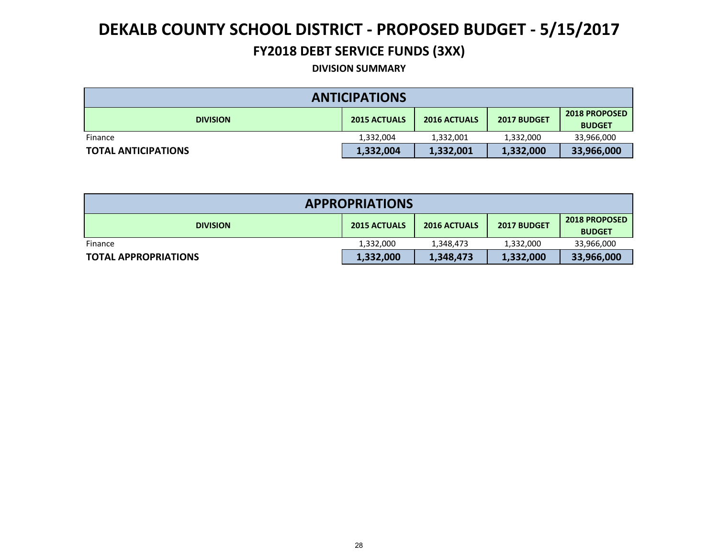### **FY2018 DEBT SERVICE FUNDS (3XX)**

#### **DIVISION SUMMARY**

| <b>ANTICIPATIONS</b>       |                     |                     |             |                                       |  |  |
|----------------------------|---------------------|---------------------|-------------|---------------------------------------|--|--|
| <b>DIVISION</b>            | <b>2015 ACTUALS</b> | <b>2016 ACTUALS</b> | 2017 BUDGET | <b>2018 PROPOSED</b><br><b>BUDGET</b> |  |  |
| Finance                    | 1,332,004           | 1,332,001           | 1,332,000   | 33,966,000                            |  |  |
| <b>TOTAL ANTICIPATIONS</b> | 1,332,004           | 1,332,001           | 1,332,000   | 33,966,000                            |  |  |

| <b>APPROPRIATIONS</b>       |                     |                     |             |                                       |  |  |
|-----------------------------|---------------------|---------------------|-------------|---------------------------------------|--|--|
| <b>DIVISION</b>             | <b>2015 ACTUALS</b> | <b>2016 ACTUALS</b> | 2017 BUDGET | <b>2018 PROPOSED</b><br><b>BUDGET</b> |  |  |
| Finance                     | 1,332,000           | 1,348,473           | 1,332,000   | 33,966,000                            |  |  |
| <b>TOTAL APPROPRIATIONS</b> | 1,332,000           | 1,348,473           | 1,332,000   | 33,966,000                            |  |  |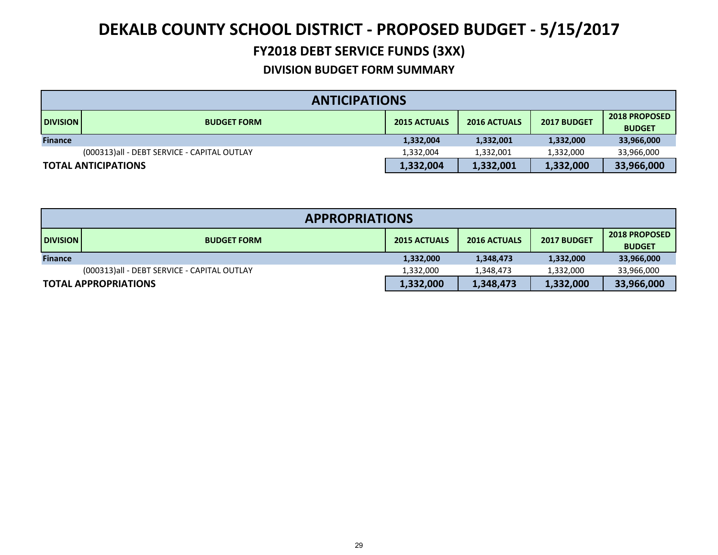## **FY2018 DEBT SERVICE FUNDS (3XX)**

|                 | <b>ANTICIPATIONS</b>                        |                     |                     |             |                                       |  |  |
|-----------------|---------------------------------------------|---------------------|---------------------|-------------|---------------------------------------|--|--|
| <b>DIVISION</b> | <b>BUDGET FORM</b>                          | <b>2015 ACTUALS</b> | <b>2016 ACTUALS</b> | 2017 BUDGET | <b>2018 PROPOSED</b><br><b>BUDGET</b> |  |  |
| <b>Finance</b>  |                                             | 1,332,004           | 1,332,001           | 1,332,000   | 33,966,000                            |  |  |
|                 | (000313)all - DEBT SERVICE - CAPITAL OUTLAY | 1,332,004           | 1,332,001           | 1,332,000   | 33,966,000                            |  |  |
|                 | <b>TOTAL ANTICIPATIONS</b>                  | 1,332,004           | 1,332,001           | 1,332,000   | 33,966,000                            |  |  |

|                 | <b>APPROPRIATIONS</b>                       |                     |                     |             |                                       |  |  |
|-----------------|---------------------------------------------|---------------------|---------------------|-------------|---------------------------------------|--|--|
| <b>DIVISION</b> | <b>BUDGET FORM</b>                          | <b>2015 ACTUALS</b> | <b>2016 ACTUALS</b> | 2017 BUDGET | <b>2018 PROPOSED</b><br><b>BUDGET</b> |  |  |
| <b>Finance</b>  |                                             | 1,332,000           | 1,348,473           | 1,332,000   | 33,966,000                            |  |  |
|                 | (000313)all - DEBT SERVICE - CAPITAL OUTLAY | 1,332,000           | 1,348,473           | 1,332,000   | 33,966,000                            |  |  |
|                 | <b>TOTAL APPROPRIATIONS</b>                 | 1,332,000           | 1,348,473           | 1,332,000   | 33,966,000                            |  |  |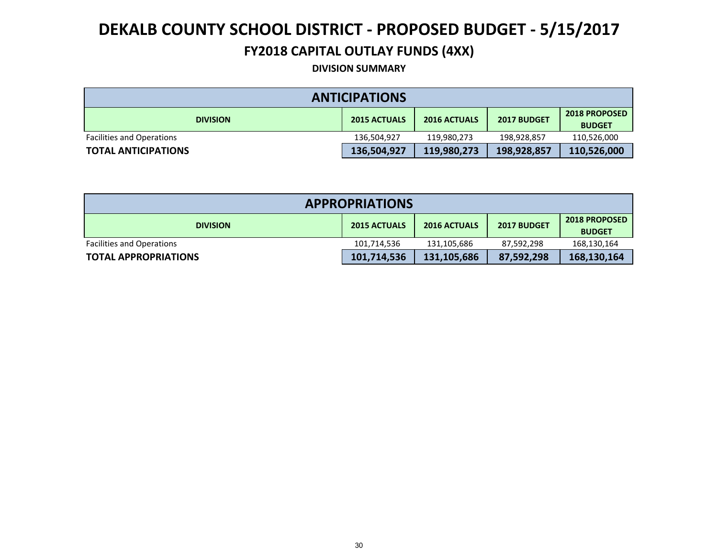### **FY2018 CAPITAL OUTLAY FUNDS (4XX)**

**DIVISION SUMMARY**

| <b>ANTICIPATIONS</b>             |                     |                     |             |                                       |  |  |
|----------------------------------|---------------------|---------------------|-------------|---------------------------------------|--|--|
| <b>DIVISION</b>                  | <b>2015 ACTUALS</b> | <b>2016 ACTUALS</b> | 2017 BUDGET | <b>2018 PROPOSED</b><br><b>BUDGET</b> |  |  |
| <b>Facilities and Operations</b> | 136,504,927         | 119.980.273         | 198,928,857 | 110,526,000                           |  |  |
| <b>TOTAL ANTICIPATIONS</b>       | 136,504,927         | 119,980,273         | 198,928,857 | 110,526,000                           |  |  |

| <b>APPROPRIATIONS</b>            |                     |                     |             |                                       |  |  |
|----------------------------------|---------------------|---------------------|-------------|---------------------------------------|--|--|
| <b>DIVISION</b>                  | <b>2015 ACTUALS</b> | <b>2016 ACTUALS</b> | 2017 BUDGET | <b>2018 PROPOSED</b><br><b>BUDGET</b> |  |  |
| <b>Facilities and Operations</b> | 101,714,536         | 131,105,686         | 87,592,298  | 168,130,164                           |  |  |
| <b>TOTAL APPROPRIATIONS</b>      | 101,714,536         | 131,105,686         | 87,592,298  | 168,130,164                           |  |  |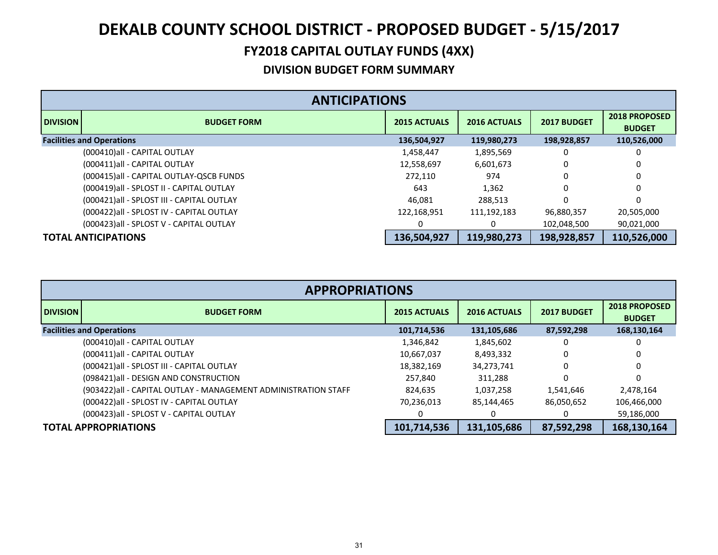## **FY2018 CAPITAL OUTLAY FUNDS (4XX)**

|                 | <b>ANTICIPATIONS</b>                       |                     |                     |             |                                       |  |  |
|-----------------|--------------------------------------------|---------------------|---------------------|-------------|---------------------------------------|--|--|
| <b>DIVISION</b> | <b>BUDGET FORM</b>                         | <b>2015 ACTUALS</b> | <b>2016 ACTUALS</b> | 2017 BUDGET | <b>2018 PROPOSED</b><br><b>BUDGET</b> |  |  |
|                 | <b>Facilities and Operations</b>           | 136,504,927         | 119,980,273         | 198,928,857 | 110,526,000                           |  |  |
|                 | (000410) all - CAPITAL OUTLAY              | 1,458,447           | 1,895,569           | 0           | 0                                     |  |  |
|                 | (000411) all - CAPITAL OUTLAY              | 12,558,697          | 6,601,673           | 0           | 0                                     |  |  |
|                 | (000415)all - CAPITAL OUTLAY-QSCB FUNDS    | 272,110             | 974                 | 0           | 0                                     |  |  |
|                 | (000419) all - SPLOST II - CAPITAL OUTLAY  | 643                 | 1,362               | 0           | 0                                     |  |  |
|                 | (000421) all - SPLOST III - CAPITAL OUTLAY | 46.081              | 288,513             | 0           | 0                                     |  |  |
|                 | (000422) all - SPLOST IV - CAPITAL OUTLAY  | 122,168,951         | 111,192,183         | 96,880,357  | 20,505,000                            |  |  |
|                 | (000423) all - SPLOST V - CAPITAL OUTLAY   |                     |                     | 102,048,500 | 90,021,000                            |  |  |
|                 | <b>TOTAL ANTICIPATIONS</b>                 | 136,504,927         | 119,980,273         | 198,928,857 | 110,526,000                           |  |  |

|                 | <b>APPROPRIATIONS</b>                                          |                     |                     |             |                                       |  |  |  |
|-----------------|----------------------------------------------------------------|---------------------|---------------------|-------------|---------------------------------------|--|--|--|
| <b>DIVISION</b> | <b>BUDGET FORM</b>                                             | <b>2015 ACTUALS</b> | <b>2016 ACTUALS</b> | 2017 BUDGET | <b>2018 PROPOSED</b><br><b>BUDGET</b> |  |  |  |
|                 | <b>Facilities and Operations</b>                               | 101,714,536         | 131,105,686         | 87,592,298  | 168,130,164                           |  |  |  |
|                 | (000410) all - CAPITAL OUTLAY                                  | 1,346,842           | 1,845,602           | 0           |                                       |  |  |  |
|                 | (000411) all - CAPITAL OUTLAY                                  | 10,667,037          | 8,493,332           | 0           |                                       |  |  |  |
|                 | (000421) all - SPLOST III - CAPITAL OUTLAY                     | 18,382,169          | 34,273,741          | 0           |                                       |  |  |  |
|                 | (098421) all - DESIGN AND CONSTRUCTION                         | 257.840             | 311.288             | $\Omega$    | $\Omega$                              |  |  |  |
|                 | (903422)all - CAPITAL OUTLAY - MANAGEMENT ADMINISTRATION STAFF | 824.635             | 1,037,258           | 1,541,646   | 2,478,164                             |  |  |  |
|                 | (000422) all - SPLOST IV - CAPITAL OUTLAY                      | 70,236,013          | 85,144,465          | 86,050,652  | 106,466,000                           |  |  |  |
|                 | (000423) all - SPLOST V - CAPITAL OUTLAY                       |                     |                     |             | 59,186,000                            |  |  |  |
|                 | <b>TOTAL APPROPRIATIONS</b>                                    | 101,714,536         | 131,105,686         | 87,592,298  | 168,130,164                           |  |  |  |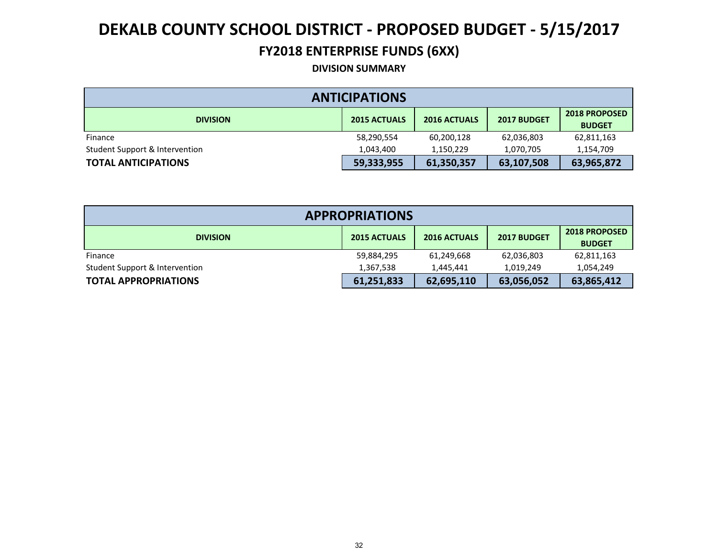### **FY2018 ENTERPRISE FUNDS (6XX)**

#### **DIVISION SUMMARY**

| <b>ANTICIPATIONS</b>                                                                                                  |            |            |            |            |  |  |  |
|-----------------------------------------------------------------------------------------------------------------------|------------|------------|------------|------------|--|--|--|
| <b>2018 PROPOSED</b><br><b>2015 ACTUALS</b><br>2017 BUDGET<br><b>2016 ACTUALS</b><br><b>DIVISION</b><br><b>BUDGET</b> |            |            |            |            |  |  |  |
| Finance                                                                                                               | 58,290,554 | 60,200,128 | 62,036,803 | 62,811,163 |  |  |  |
| Student Support & Intervention                                                                                        | 1,043,400  | 1,150,229  | 1,070,705  | 1,154,709  |  |  |  |
| <b>TOTAL ANTICIPATIONS</b>                                                                                            | 59,333,955 | 61,350,357 | 63,107,508 | 63,965,872 |  |  |  |

| <b>APPROPRIATIONS</b>          |                     |                     |             |                                       |  |  |  |
|--------------------------------|---------------------|---------------------|-------------|---------------------------------------|--|--|--|
| <b>DIVISION</b>                | <b>2015 ACTUALS</b> | <b>2016 ACTUALS</b> | 2017 BUDGET | <b>2018 PROPOSED</b><br><b>BUDGET</b> |  |  |  |
| Finance                        | 59,884,295          | 61,249,668          | 62,036,803  | 62,811,163                            |  |  |  |
| Student Support & Intervention | 1,367,538           | 1.445.441           | 1.019.249   | 1,054,249                             |  |  |  |
| <b>TOTAL APPROPRIATIONS</b>    | 61,251,833          | 62,695,110          | 63,056,052  | 63,865,412                            |  |  |  |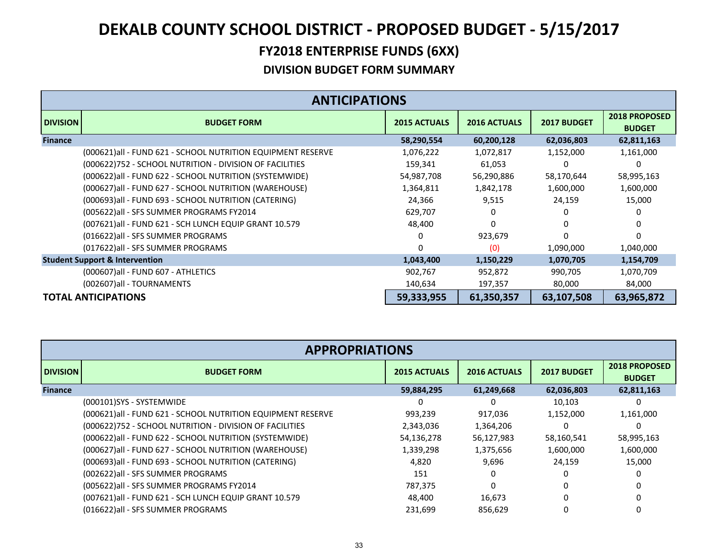|                 | <b>ANTICIPATIONS</b>                                        |                     |                     |             |                                       |  |  |  |
|-----------------|-------------------------------------------------------------|---------------------|---------------------|-------------|---------------------------------------|--|--|--|
| <b>DIVISION</b> | <b>BUDGET FORM</b>                                          | <b>2015 ACTUALS</b> | <b>2016 ACTUALS</b> | 2017 BUDGET | <b>2018 PROPOSED</b><br><b>BUDGET</b> |  |  |  |
| <b>Finance</b>  |                                                             | 58,290,554          | 60,200,128          | 62,036,803  | 62,811,163                            |  |  |  |
|                 | (000621)all - FUND 621 - SCHOOL NUTRITION EQUIPMENT RESERVE | 1,076,222           | 1,072,817           | 1,152,000   | 1,161,000                             |  |  |  |
|                 | (000622)752 - SCHOOL NUTRITION - DIVISION OF FACILITIES     | 159,341             | 61,053              | 0           | 0                                     |  |  |  |
|                 | (000622) all - FUND 622 - SCHOOL NUTRITION (SYSTEMWIDE)     | 54,987,708          | 56,290,886          | 58,170,644  | 58,995,163                            |  |  |  |
|                 | (000627) all - FUND 627 - SCHOOL NUTRITION (WAREHOUSE)      | 1,364,811           | 1,842,178           | 1,600,000   | 1,600,000                             |  |  |  |
|                 | (000693)all - FUND 693 - SCHOOL NUTRITION (CATERING)        | 24,366              | 9,515               | 24,159      | 15,000                                |  |  |  |
|                 | (005622) all - SFS SUMMER PROGRAMS FY2014                   | 629,707             |                     | ი           | 0                                     |  |  |  |
|                 | (007621) all - FUND 621 - SCH LUNCH EQUIP GRANT 10.579      | 48,400              | U                   | 0           | 0                                     |  |  |  |
|                 | (016622) all - SFS SUMMER PROGRAMS                          | 0                   | 923,679             | U           | 0                                     |  |  |  |
|                 | (017622)all - SFS SUMMER PROGRAMS                           | 0                   | (0)                 | 1,090,000   | 1,040,000                             |  |  |  |
|                 | <b>Student Support &amp; Intervention</b>                   | 1,043,400           | 1,150,229           | 1,070,705   | 1,154,709                             |  |  |  |
|                 | (000607) all - FUND 607 - ATHLETICS                         | 902,767             | 952,872             | 990,705     | 1,070,709                             |  |  |  |
|                 | (002607)all - TOURNAMENTS                                   | 140,634             | 197,357             | 80,000      | 84,000                                |  |  |  |
|                 | <b>TOTAL ANTICIPATIONS</b>                                  | 59,333,955          | 61,350,357          | 63,107,508  | 63,965,872                            |  |  |  |

|                 | <b>APPROPRIATIONS</b>                                        |                     |                     |                    |                                       |  |  |
|-----------------|--------------------------------------------------------------|---------------------|---------------------|--------------------|---------------------------------------|--|--|
| <b>DIVISION</b> | <b>BUDGET FORM</b>                                           | <b>2015 ACTUALS</b> | <b>2016 ACTUALS</b> | <b>2017 BUDGET</b> | <b>2018 PROPOSED</b><br><b>BUDGET</b> |  |  |
| <b>Finance</b>  |                                                              | 59,884,295          | 61,249,668          | 62,036,803         | 62,811,163                            |  |  |
|                 | (000101)SYS - SYSTEMWIDE                                     | <sup>0</sup>        |                     | 10,103             |                                       |  |  |
|                 | (000621) all - FUND 621 - SCHOOL NUTRITION EQUIPMENT RESERVE | 993,239             | 917,036             | 1,152,000          | 1,161,000                             |  |  |
|                 | (000622)752 - SCHOOL NUTRITION - DIVISION OF FACILITIES      | 2,343,036           | 1,364,206           | $\Omega$           |                                       |  |  |
|                 | (000622) all - FUND 622 - SCHOOL NUTRITION (SYSTEMWIDE)      | 54,136,278          | 56,127,983          | 58,160,541         | 58,995,163                            |  |  |
|                 | (000627) all - FUND 627 - SCHOOL NUTRITION (WAREHOUSE)       | 1,339,298           | 1,375,656           | 1,600,000          | 1,600,000                             |  |  |
|                 | (000693)all - FUND 693 - SCHOOL NUTRITION (CATERING)         | 4,820               | 9,696               | 24,159             | 15,000                                |  |  |
|                 | (002622)all - SFS SUMMER PROGRAMS                            | 151                 |                     | <sup>0</sup>       |                                       |  |  |
|                 | (005622)all - SFS SUMMER PROGRAMS FY2014                     | 787,375             |                     | 0                  |                                       |  |  |
|                 | (007621)all - FUND 621 - SCH LUNCH EQUIP GRANT 10.579        | 48.400              | 16,673              | 0                  |                                       |  |  |
|                 | (016622) all - SFS SUMMER PROGRAMS                           | 231,699             | 856,629             | 0                  |                                       |  |  |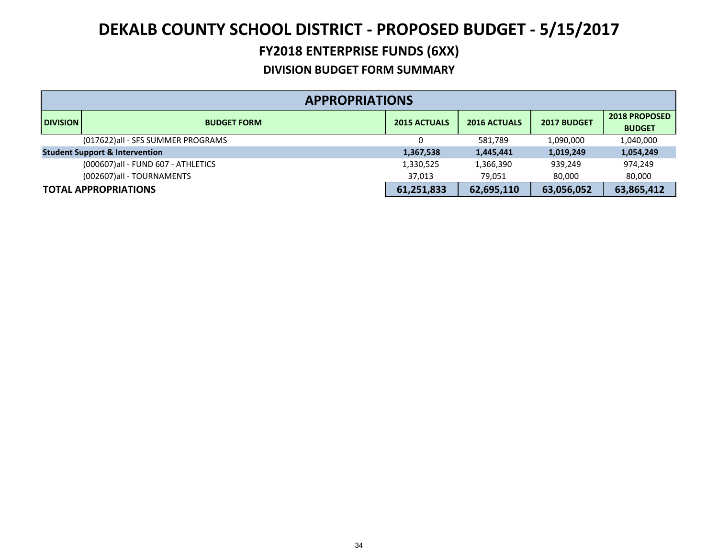### **FY2018 ENTERPRISE FUNDS (6XX)**

|                 | <b>APPROPRIATIONS</b>                     |                     |                     |             |                                       |  |  |
|-----------------|-------------------------------------------|---------------------|---------------------|-------------|---------------------------------------|--|--|
| <b>DIVISION</b> | <b>BUDGET FORM</b>                        | <b>2015 ACTUALS</b> | <b>2016 ACTUALS</b> | 2017 BUDGET | <b>2018 PROPOSED</b><br><b>BUDGET</b> |  |  |
|                 | (017622)all - SFS SUMMER PROGRAMS         | 0                   | 581.789             | 1,090,000   | 1,040,000                             |  |  |
|                 | <b>Student Support &amp; Intervention</b> | 1,367,538           | 1,445,441           | 1,019,249   | 1,054,249                             |  |  |
|                 | (000607)all - FUND 607 - ATHLETICS        | 1,330,525           | 1,366,390           | 939,249     | 974,249                               |  |  |
|                 | (002607)all - TOURNAMENTS                 | 37.013              | 79.051              | 80,000      | 80,000                                |  |  |
|                 | <b>TOTAL APPROPRIATIONS</b>               | 61,251,833          | 62,695,110          | 63,056,052  | 63,865,412                            |  |  |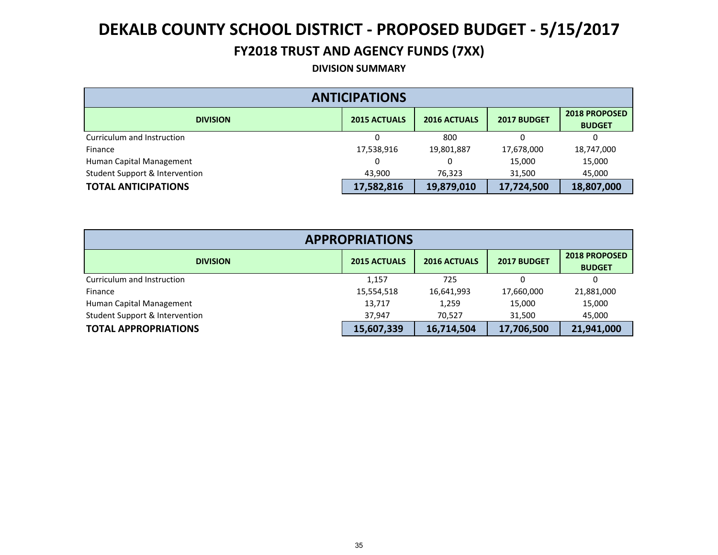## **FY2018 TRUST AND AGENCY FUNDS (7XX)**

#### **DIVISION SUMMARY**

| <b>ANTICIPATIONS</b>                                                                                 |            |            |            |            |  |  |  |  |
|------------------------------------------------------------------------------------------------------|------------|------------|------------|------------|--|--|--|--|
| <b>2018 PROPOSED</b><br><b>2015 ACTUALS</b><br><b>2016 ACTUALS</b><br>2017 BUDGET<br><b>DIVISION</b> |            |            |            |            |  |  |  |  |
| Curriculum and Instruction                                                                           |            | 800        |            |            |  |  |  |  |
| Finance                                                                                              | 17,538,916 | 19,801,887 | 17,678,000 | 18,747,000 |  |  |  |  |
| Human Capital Management                                                                             |            | 0          | 15,000     | 15,000     |  |  |  |  |
| Student Support & Intervention                                                                       | 43,900     | 76,323     | 31,500     | 45,000     |  |  |  |  |
| <b>TOTAL ANTICIPATIONS</b>                                                                           | 17,582,816 | 19,879,010 | 17,724,500 | 18,807,000 |  |  |  |  |

| <b>APPROPRIATIONS</b>          |                     |                     |             |                                       |  |  |  |  |
|--------------------------------|---------------------|---------------------|-------------|---------------------------------------|--|--|--|--|
| <b>DIVISION</b>                | <b>2015 ACTUALS</b> | <b>2016 ACTUALS</b> | 2017 BUDGET | <b>2018 PROPOSED</b><br><b>BUDGET</b> |  |  |  |  |
| Curriculum and Instruction     | 1.157               | 725                 | 0           |                                       |  |  |  |  |
| Finance                        | 15,554,518          | 16,641,993          | 17,660,000  | 21,881,000                            |  |  |  |  |
| Human Capital Management       | 13,717              | 1,259               | 15,000      | 15,000                                |  |  |  |  |
| Student Support & Intervention | 37.947              | 70.527              | 31,500      | 45,000                                |  |  |  |  |
| <b>TOTAL APPROPRIATIONS</b>    | 15,607,339          | 16,714,504          | 17,706,500  | 21,941,000                            |  |  |  |  |